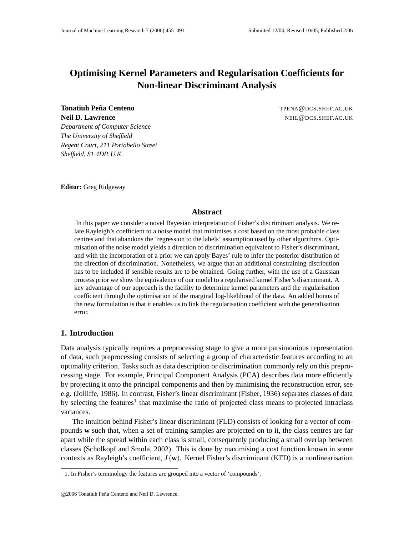# **Optimising Kernel Parameters and Regularisation Coefficients for Non-linear Discriminant Analysis**

**Tonatiuh Peña Centeno** The Term of The Term of The Term of The Term of The Term of The Term of Term of Terms and Terms and Terms and Terms and Terms and Terms and Terms and Terms and Terms and Terms and Terms and Terms an **Neil D. Lawrence** NEIL@DCS.SHEF.AC.UK

*Department of Computer Science The University of Sheffield Regent Court, 211 Portobello Street Sheffield, S1 4DP, U.K.*

**Editor:** Greg Ridgeway

## **Abstract**

In this paper we consider a novel Bayesian interpretation of Fisher's discriminant analysis. We relate Rayleigh's coefficient to a noise model that minimises a cost based on the most probable class centres and that abandons the 'regression to the labels' assumption used by other algorithms. Optimisation of the noise model yields a direction of discrimination equivalent to Fisher's discriminant, and with the incorporation of a prior we can apply Bayes' rule to infer the posterior distribution of the direction of discrimination. Nonetheless, we argue that an additional constraining distribution has to be included if sensible results are to be obtained. Going further, with the use of a Gaussian process prior we show the equivalence of our model to a regularised kernel Fisher's discriminant. A key advantage of our approach is the facility to determine kernel parameters and the regularisation coefficient through the optimisation of the marginal log-likelihood of the data. An added bonus of the new formulation is that it enables us to link the regularisation coefficient with the generalisation error.

## **1. Introduction**

Data analysis typically requires a preprocessing stage to give a more parsimonious representation of data, such preprocessing consists of selecting a group of characteristic features according to an optimality criterion. Tasks such as data description or discrimination commonly rely on this preprocessing stage. For example, Principal Component Analysis (PCA) describes data more efficiently by projecting it onto the principal components and then by minimising the reconstruction error, see e.g. (Jolliffe, 1986). In contrast, Fisher's linear discriminant (Fisher, 1936) separates classes of data by selecting the features<sup>1</sup> that maximise the ratio of projected class means to projected intraclass variances.

The intuition behind Fisher's linear discriminant (FLD) consists of looking for a vector of compounds **w** such that, when a set of training samples are projected on to it, the class centres are far apart while the spread within each class is small, consequently producing a small overlap between classes (Schölkopf and Smola, 2002). This is done by maximising a cost function known in some contexts as Rayleigh's coefficient,  $J(\mathbf{w})$ . Kernel Fisher's discriminant (KFD) is a nonlinearisation

<sup>1.</sup> In Fisher's terminology the features are grouped into a vector of 'compounds'.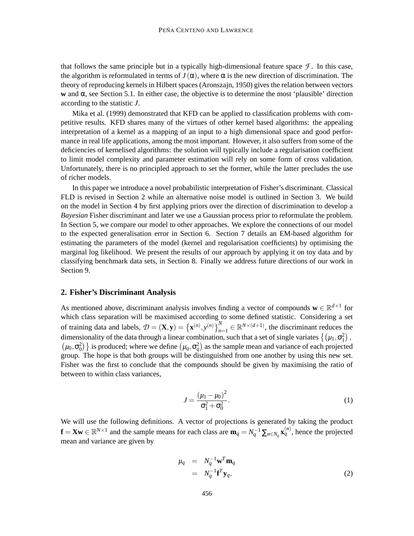that follows the same principle but in a typically high-dimensional feature space  $\mathcal F$ . In this case, the algorithm is reformulated in terms of  $J(\alpha)$ , where  $\alpha$  is the new direction of discrimination. The theory of reproducing kernels in Hilbert spaces (Aronszajn, 1950) gives the relation between vectors **w** and  $\alpha$ , see Section 5.1. In either case, the objective is to determine the most 'plausible' direction according to the statistic *J*.

Mika et al. (1999) demonstrated that KFD can be applied to classification problems with competitive results. KFD shares many of the virtues of other kernel based algorithms: the appealing interpretation of a kernel as a mapping of an input to a high dimensional space and good performance in real life applications, among the most important. However, it also suffers from some of the deficiencies of kernelised algorithms: the solution will typically include a regularisation coefficient to limit model complexity and parameter estimation will rely on some form of cross validation. Unfortunately, there is no principled approach to set the former, while the latter precludes the use of richer models.

In this paper we introduce a novel probabilistic interpretation of Fisher's discriminant. Classical FLD is revised in Section 2 while an alternative noise model is outlined in Section 3. We build on the model in Section 4 by first applying priors over the direction of discrimination to develop a *Bayesian* Fisher discriminant and later we use a Gaussian process prior to reformulate the problem. In Section 5, we compare our model to other approaches. We explore the connections of our model to the expected generalisation error in Section 6. Section 7 details an EM-based algorithm for estimating the parameters of the model (kernel and regularisation coefficients) by optimising the marginal log likelihood. We present the results of our approach by applying it on toy data and by classifying benchmark data sets, in Section 8. Finally we address future directions of our work in Section 9.

#### **2. Fisher's Discriminant Analysis**

As mentioned above, discriminant analysis involves finding a vector of compounds  $\mathbf{w} \in \mathbb{R}^{d \times 1}$  for which class separation will be maximised according to some defined statistic. Considering a set of training data and labels,  $\mathcal{D} = (\mathbf{X}, \mathbf{y}) = \{\mathbf{x}^{(n)}, y^{(n)}\}_{n=1}^N \in \mathbb{R}^{N \times (d+1)}$ , the discriminant reduces the dimensionality of the data through a linear combination, such that a set of single variates  $\{(\mu_1, \sigma_1^2),$  $(\mu_0, \sigma_0^2)$  is produced; where we define  $(\mu_q, \sigma_q^2)$  as the sample mean and variance of each projected group. The hope is that both groups will be distinguished from one another by using this new set. Fisher was the first to conclude that the compounds should be given by maximising the ratio of between to within class variances,

$$
J = \frac{(\mu_1 - \mu_0)^2}{\sigma_1^2 + \sigma_0^2}.
$$
 (1)

We will use the following definitions. A vector of projections is generated by taking the product  $f = Xw \in \mathbb{R}^{N \times 1}$  and the sample means for each class are  $m_q = N_q^{-1} \sum_{n \in N_q} x_q^{(n)}$ , hence the projected mean and variance are given by

$$
\mu_q = N_q^{-1} \mathbf{w}^T \mathbf{m}_q
$$
  
=  $N_q^{-1} \mathbf{f}^T \mathbf{y}_q$ , (2)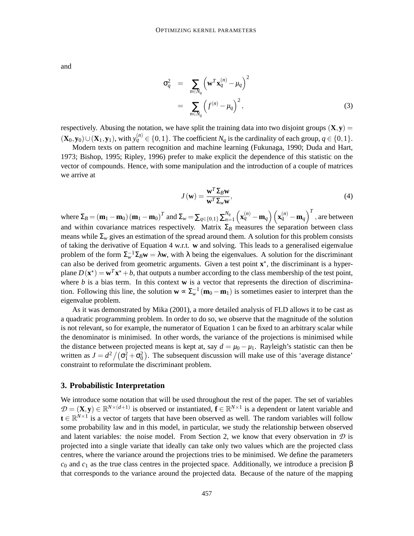and

$$
\sigma_q^2 = \sum_{n \in N_q} \left( \mathbf{w}^T \mathbf{x}_q^{(n)} - \mu_q \right)^2
$$
  
= 
$$
\sum_{n \in N_q} \left( f^{(n)} - \mu_q \right)^2,
$$
 (3)

respectively. Abusing the notation, we have split the training data into two disjoint groups  $(X, y)$  =  $(\mathbf{X}_0, \mathbf{y}_0) \cup (\mathbf{X}_1, \mathbf{y}_1)$ , with  $y_q^{(n)} \in \{0, 1\}$ . The coefficient  $N_q$  is the cardinality of each group,  $q \in \{0, 1\}$ .

Modern texts on pattern recognition and machine learning (Fukunaga, 1990; Duda and Hart, 1973; Bishop, 1995; Ripley, 1996) prefer to make explicit the dependence of this statistic on the vector of compounds. Hence, with some manipulation and the introduction of a couple of matrices we arrive at

$$
J(\mathbf{w}) = \frac{\mathbf{w}^T \Sigma_B \mathbf{w}}{\mathbf{w}^T \Sigma_w \mathbf{w}},
$$
(4)

 $\text{where } Σ_B = (m_1 - m_0) (m_1 - m_0)^T$  and  $Σ_w = Σ_{q∈{0,1}} Σ_{n=1}^{N_q}$  $\int_{n=1}^{N_q} \left( \mathbf{x}_q^{(n)} - \mathbf{m}_q \right) \left( \mathbf{x}_q^{(n)} - \mathbf{m}_q \right)^T$  , are between and within covariance matrices respectively. Matrix  $\Sigma_B$  measures the separation between class means while  $\Sigma_w$  gives an estimation of the spread around them. A solution for this problem consists of taking the derivative of Equation 4 w.r.t. **w** and solving. This leads to a generalised eigenvalue problem of the form  $\Sigma_{w}^{-1}\Sigma_{B}\mathbf{w} = \lambda \mathbf{w}$ , with  $\lambda$  being the eigenvalues. A solution for the discriminant can also be derived from geometric arguments. Given a test point  $x^*$ , the discriminant is a hyperplane  $D(\mathbf{x}^*) = \mathbf{w}^T \mathbf{x}^* + b$ , that outputs a number according to the class membership of the test point, where  $b$  is a bias term. In this context  $w$  is a vector that represents the direction of discrimination. Following this line, the solution  $\mathbf{w} \propto \sum_{w}^{-1} (\mathbf{m}_0 - \mathbf{m}_1)$  is sometimes easier to interpret than the eigenvalue problem.

As it was demonstrated by Mika (2001), a more detailed analysis of FLD allows it to be cast as a quadratic programming problem. In order to do so, we observe that the magnitude of the solution is not relevant, so for example, the numerator of Equation 1 can be fixed to an arbitrary scalar while the denominator is minimised. In other words, the variance of the projections is minimised while the distance between projected means is kept at, say  $d = \mu_0 - \mu_1$ . Rayleigh's statistic can then be written as  $J = d^2/(\sigma_1^2 + \sigma_0^2)$ . The subsequent discussion will make use of this 'average distance' constraint to reformulate the discriminant problem.

#### **3. Probabilistic Interpretation**

We introduce some notation that will be used throughout the rest of the paper. The set of variables  $\mathcal{D} = (\mathbf{X}, \mathbf{y}) \in \mathbb{R}^{N \times (d+1)}$  is observed or instantiated,  $\mathbf{f} \in \mathbb{R}^{N \times 1}$  is a dependent or latent variable and  $\mathbf{t} \in \mathbb{R}^{N \times 1}$  is a vector of targets that have been observed as well. The random variables will follow some probability law and in this model, in particular, we study the relationship between observed and latent variables: the noise model. From Section 2, we know that every observation in  $D$  is projected into a single variate that ideally can take only two values which are the projected class centres, where the variance around the projections tries to be minimised. We define the parameters  $c<sub>0</sub>$  and  $c<sub>1</sub>$  as the true class centres in the projected space. Additionally, we introduce a precision β that corresponds to the variance around the projected data. Because of the nature of the mapping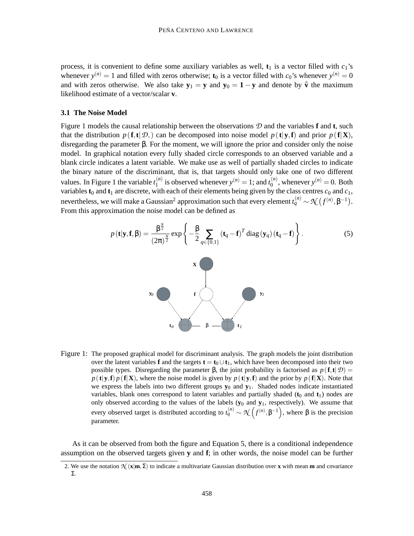process, it is convenient to define some auxiliary variables as well,  $t_1$  is a vector filled with  $c_1$ 's whenever  $y^{(n)} = 1$  and filled with zeros otherwise; **t**<sub>0</sub> is a vector filled with  $c_0$ 's whenever  $y^{(n)} = 0$ and with zeros otherwise. We also take  $y_1 = y$  and  $y_0 = 1 - y$  and denote by  $\hat{v}$  the maximum likelihood estimate of a vector/scalar **v**.

#### **3.1 The Noise Model**

Figure 1 models the causal relationship between the observations  $D$  and the variables **f** and **t**, such that the distribution  $p(\mathbf{f}, \mathbf{t} | \mathcal{D})$  can be decomposed into noise model  $p(\mathbf{t} | \mathbf{y}, \mathbf{f})$  and prior  $p(\mathbf{f} | \mathbf{X})$ , disregarding the parameter β. For the moment, we will ignore the prior and consider only the noise model. In graphical notation every fully shaded circle corresponds to an observed variable and a blank circle indicates a latent variable. We make use as well of partially shaded circles to indicate the binary nature of the discriminant, that is, that targets should only take one of two different values. In Figure 1 the variable  $t_1^{(n)}$  $\binom{n}{1}$  is observed whenever  $y^{(n)} = 1$ ; and  $t_0^{(n)}$  $y_0^{(n)}$ , whenever  $y^{(n)} = 0$ . Both variables  $t_0$  and  $t_1$  are discrete, with each of their elements being given by the class centres  $c_0$  and  $c_1$ , nevertheless, we will make a Gaussian<sup>2</sup> approximation such that every element  $t_q^{(n)} \sim \mathcal{N}(f^{(n)}, \beta^{-1})$ . From this approximation the noise model can be defined as

$$
p(\mathbf{t}|\mathbf{y}, \mathbf{f}, \boldsymbol{\beta}) = \frac{\boldsymbol{\beta}^{\frac{N}{2}}}{(2\pi)^{\frac{N}{2}}} \exp \left\{-\frac{\boldsymbol{\beta}}{2} \sum_{q \in \{0, 1\}} (\mathbf{t}_q - \mathbf{f})^T \operatorname{diag}(\mathbf{y}_q) (\mathbf{t}_q - \mathbf{f})\right\}.
$$
 (5)



Figure 1: The proposed graphical model for discriminant analysis. The graph models the joint distribution over the latent variables **f** and the targets  $\mathbf{t} = \mathbf{t}_0 \cup \mathbf{t}_1$ , which have been decomposed into their two possible types. Disregarding the parameter  $\beta$ , the joint probability is factorised as  $p(\mathbf{f}, \mathbf{t} | \mathcal{D}) =$  $p(\mathbf{t}|\mathbf{y},\mathbf{f}) p(\mathbf{f}|\mathbf{X})$ , where the noise model is given by  $p(\mathbf{t}|\mathbf{y},\mathbf{f})$  and the prior by  $p(\mathbf{f}|\mathbf{X})$ . Note that we express the labels into two different groups  $y_0$  and  $y_1$ . Shaded nodes indicate instantiated variables, blank ones correspond to latent variables and partially shaded  $(t_0$  and  $t_1$ ) nodes are only observed according to the values of the labels (**y**<sup>0</sup> and **y**1, respectively). We assume that every observed target is distributed according to  $t_q^{(n)} \sim \mathcal{K}\left(f^{(n)}, \beta^{-1}\right)$ , where  $\beta$  is the precision parameter.

As it can be observed from both the figure and Equation 5, there is a conditional independence assumption on the observed targets given **y** and **f**; in other words, the noise model can be further

<sup>2.</sup> We use the notation  $\mathcal{N}(\mathbf{x}|\mathbf{m},\Sigma)$  to indicate a multivariate Gaussian distribution over **x** with mean **m** and covariance Σ.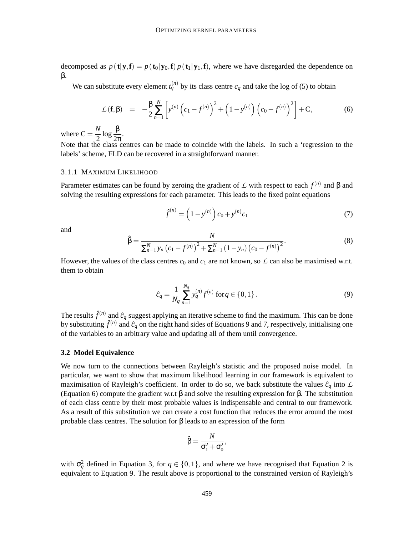decomposed as  $p(\mathbf{t}|\mathbf{y},\mathbf{f}) = p(\mathbf{t}_0|\mathbf{y}_0,\mathbf{f}) p(\mathbf{t}_1|\mathbf{y}_1,\mathbf{f})$ , where we have disregarded the dependence on β.

We can substitute every element  $t_q^{(n)}$  by its class centre  $c_q$  and take the log of (5) to obtain

$$
\mathcal{L}(\mathbf{f}, \beta) = -\frac{\beta}{2} \sum_{n=1}^{N} \left[ y^{(n)} \left( c_1 - f^{(n)} \right)^2 + \left( 1 - y^{(n)} \right) \left( c_0 - f^{(n)} \right)^2 \right] + \mathbf{C}, \tag{6}
$$

where  $C = \frac{N}{2}$  $\frac{N}{2} \log \frac{\beta}{2\pi}$ .

Note that the class centres can be made to coincide with the labels. In such a 'regression to the labels' scheme, FLD can be recovered in a straightforward manner.

#### 3.1.1 MAXIMUM LIKELIHOOD

Parameter estimates can be found by zeroing the gradient of L with respect to each *f* (*n*) and β and solving the resulting expressions for each parameter. This leads to the fixed point equations

$$
\hat{f}^{(n)} = \left(1 - y^{(n)}\right)c_0 + y^{(n)}c_1\tag{7}
$$

and

$$
\hat{\beta} = \frac{N}{\sum_{n=1}^{N} y_n (c_1 - f^{(n)})^2 + \sum_{n=1}^{N} (1 - y_n) (c_0 - f^{(n)})^2}.
$$
\n(8)

However, the values of the class centres  $c_0$  and  $c_1$  are not known, so  $\mathcal L$  can also be maximised w.r.t. them to obtain

$$
\hat{c}_q = \frac{1}{N_q} \sum_{n=1}^{N_q} y_q^{(n)} f^{(n)} \text{ for } q \in \{0, 1\}.
$$
 (9)

The results  $\hat{f}^{(n)}$  and  $\hat{c}_q$  suggest applying an iterative scheme to find the maximum. This can be done by substituting  $\hat{f}^{(n)}$  and  $\hat{c}_q$  on the right hand sides of Equations 9 and 7, respectively, initialising one of the variables to an arbitrary value and updating all of them until convergence.

#### **3.2 Model Equivalence**

We now turn to the connections between Rayleigh's statistic and the proposed noise model. In particular, we want to show that maximum likelihood learning in our framework is equivalent to maximisation of Rayleigh's coefficient. In order to do so, we back substitute the values  $\hat{c}_q$  into  $\hat{L}$ (Equation 6) compute the gradient w.r.t β and solve the resulting expression for β. The substitution of each class centre by their most probable values is indispensable and central to our framework. As a result of this substitution we can create a cost function that reduces the error around the most probable class centres. The solution for β leads to an expression of the form

$$
\hat{\beta} = \frac{N}{\sigma_1^2 + \sigma_0^2},
$$

with  $\sigma_q^2$  defined in Equation 3, for  $q \in \{0,1\}$ , and where we have recognised that Equation 2 is equivalent to Equation 9. The result above is proportional to the constrained version of Rayleigh's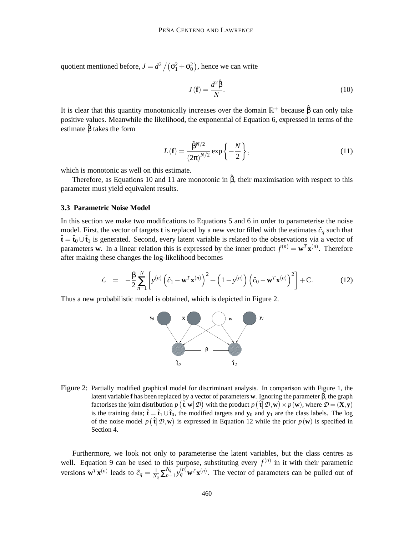quotient mentioned before,  $J = d^2 / (\sigma_1^2 + \sigma_0^2)$ , hence we can write

$$
J(\mathbf{f}) = \frac{d^2 \hat{\beta}}{N}.
$$
 (10)

It is clear that this quantity monotonically increases over the domain  $\mathbb{R}^+$  because  $\hat{\beta}$  can only take positive values. Meanwhile the likelihood, the exponential of Equation 6, expressed in terms of the estimate  $\hat{\beta}$  takes the form

$$
L(\mathbf{f}) = \frac{\hat{\beta}^{N/2}}{(2\pi)^{N/2}} \exp\left\{-\frac{N}{2}\right\},\tag{11}
$$

which is monotonic as well on this estimate.

Therefore, as Equations 10 and 11 are monotonic in  $\hat{B}$ , their maximisation with respect to this parameter must yield equivalent results.

#### **3.3 Parametric Noise Model**

In this section we make two modifications to Equations 5 and 6 in order to parameterise the noise model. First, the vector of targets **t** is replaced by a new vector filled with the estimates  $\hat{c}_q$  such that  $\hat{\mathbf{t}} = \hat{\mathbf{t}}_0 \cup \hat{\mathbf{t}}_1$  is generated. Second, every latent variable is related to the observations via a vector of parameters **w**. In a linear relation this is expressed by the inner product  $f^{(n)} = \mathbf{w}^T \mathbf{x}^{(n)}$ . Therefore after making these changes the log-likelihood becomes

$$
\mathcal{L} = -\frac{\beta}{2} \sum_{n=1}^{N} \left[ y^{(n)} \left( \hat{c}_1 - \mathbf{w}^T \mathbf{x}^{(n)} \right)^2 + \left( 1 - y^{(n)} \right) \left( \hat{c}_0 - \mathbf{w}^T \mathbf{x}^{(n)} \right)^2 \right] + \mathbf{C}.
$$
 (12)

Thus a new probabilistic model is obtained, which is depicted in Figure 2.



Figure 2: Partially modified graphical model for discriminant analysis. In comparison with Figure 1, the latent variable **f** has been replaced by a vector of parameters **w**. Ignoring the parameter β, the graph factorises the joint distribution  $p(\hat{\mathbf{t}}, \mathbf{w} | \mathcal{D})$  with the product  $p(\hat{\mathbf{t}} | \mathcal{D}, \mathbf{w}) \times p(\mathbf{w})$ , where  $\mathcal{D} = (\mathbf{X}, \mathbf{y})$ is the training data;  $\hat{\mathbf{t}} = \hat{\mathbf{t}}_1 \cup \hat{\mathbf{t}}_0$ , the modified targets and  $\mathbf{y}_0$  and  $\mathbf{y}_1$  are the class labels. The log of the noise model  $p(\hat{\mathbf{t}} | \mathcal{D}, \mathbf{w})$  is expressed in Equation 12 while the prior  $p(\mathbf{w})$  is specified in Section 4.

Furthermore, we look not only to parameterise the latent variables, but the class centres as well. Equation 9 can be used to this purpose, substituting every  $f^{(n)}$  in it with their parametric versions  $\mathbf{w}^T \mathbf{x}^{(n)}$  leads to  $\hat{c}_q = \frac{1}{N}$  $\frac{1}{N_q} \sum_{n=1}^{N_q}$  $\int_{n=1}^{N_q} y_q^{(n)} \mathbf{w}^T \mathbf{x}^{(n)}$ . The vector of parameters can be pulled out of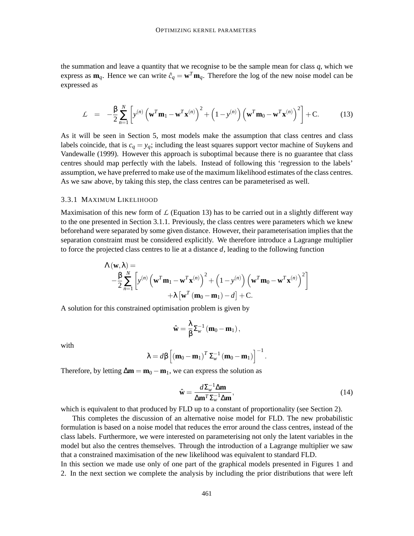the summation and leave a quantity that we recognise to be the sample mean for class *q*, which we express as  $\mathbf{m}_q$ . Hence we can write  $\hat{c}_q = \mathbf{w}^T \mathbf{m}_q$ . Therefore the log of the new noise model can be expressed as

$$
\mathcal{L} = -\frac{\beta}{2} \sum_{n=1}^{N} \left[ y^{(n)} \left( \mathbf{w}^T \mathbf{m}_1 - \mathbf{w}^T \mathbf{x}^{(n)} \right)^2 + \left( 1 - y^{(n)} \right) \left( \mathbf{w}^T \mathbf{m}_0 - \mathbf{w}^T \mathbf{x}^{(n)} \right)^2 \right] + \mathbf{C}.
$$
 (13)

As it will be seen in Section 5, most models make the assumption that class centres and class labels coincide, that is  $c_q = y_q$ ; including the least squares support vector machine of Suykens and Vandewalle (1999). However this approach is suboptimal because there is no guarantee that class centres should map perfectly with the labels. Instead of following this 'regression to the labels' assumption, we have preferred to make use of the maximum likelihood estimates of the class centres. As we saw above, by taking this step, the class centres can be parameterised as well.

#### 3.3.1 MAXIMUM LIKELIHOOD

Maximisation of this new form of  $\mathcal L$  (Equation 13) has to be carried out in a slightly different way to the one presented in Section 3.1.1. Previously, the class centres were parameters which we knew beforehand were separated by some given distance. However, their parameterisation implies that the separation constraint must be considered explicitly. We therefore introduce a Lagrange multiplier to force the projected class centres to lie at a distance *d*, leading to the following function

$$
\Lambda(\mathbf{w},\lambda) =
$$
  
- $\frac{\beta}{2} \sum_{n=1}^{N} \left[ y^{(n)} \left( \mathbf{w}^{T} \mathbf{m}_{1} - \mathbf{w}^{T} \mathbf{x}^{(n)} \right)^{2} + \left( 1 - y^{(n)} \right) \left( \mathbf{w}^{T} \mathbf{m}_{0} - \mathbf{w}^{T} \mathbf{x}^{(n)} \right)^{2} \right] + \lambda \left[ \mathbf{w}^{T} \left( \mathbf{m}_{0} - \mathbf{m}_{1} \right) - d \right] + C.$ 

A solution for this constrained optimisation problem is given by

$$
\hat{\mathbf{w}} = \frac{\lambda}{\beta} \Sigma_{\scriptscriptstyle{W}}^{-1} \left( \mathbf{m}_0 - \mathbf{m}_1 \right),
$$

with

$$
\lambda = d\beta \left[ \left( \mathbf{m}_0 - \mathbf{m}_1 \right)^T \Sigma_{w}^{-1} \left( \mathbf{m}_0 - \mathbf{m}_1 \right) \right]^{-1}.
$$

Therefore, by letting  $\Delta m = m_0 - m_1$ , we can express the solution as

$$
\hat{\mathbf{w}} = \frac{d\Sigma_{w}^{-1} \Delta \mathbf{m}}{\Delta \mathbf{m}^{T} \Sigma_{w}^{-1} \Delta \mathbf{m}},\tag{14}
$$

which is equivalent to that produced by FLD up to a constant of proportionality (see Section 2).

This completes the discussion of an alternative noise model for FLD. The new probabilistic formulation is based on a noise model that reduces the error around the class centres, instead of the class labels. Furthermore, we were interested on parameterising not only the latent variables in the model but also the centres themselves. Through the introduction of a Lagrange multiplier we saw that a constrained maximisation of the new likelihood was equivalent to standard FLD.

In this section we made use only of one part of the graphical models presented in Figures 1 and 2. In the next section we complete the analysis by including the prior distributions that were left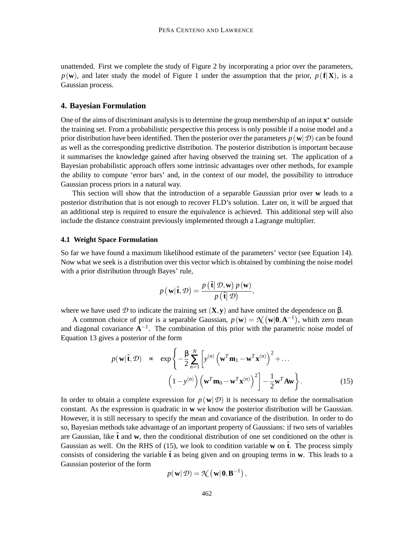unattended. First we complete the study of Figure 2 by incorporating a prior over the parameters,  $p(\mathbf{w})$ , and later study the model of Figure 1 under the assumption that the prior,  $p(\mathbf{f}|\mathbf{X})$ , is a Gaussian process.

## **4. Bayesian Formulation**

One of the aims of discriminant analysis is to determine the group membership of an input  $x^*$  outside the training set. From a probabilistic perspective this process is only possible if a noise model and a prior distribution have been identified. Then the posterior over the parameters  $p(\mathbf{w}|\mathcal{D})$  can be found as well as the corresponding predictive distribution. The posterior distribution is important because it summarises the knowledge gained after having observed the training set. The application of a Bayesian probabilistic approach offers some intrinsic advantages over other methods, for example the ability to compute 'error bars' and, in the context of our model, the possibility to introduce Gaussian process priors in a natural way.

This section will show that the introduction of a separable Gaussian prior over **w** leads to a posterior distribution that is not enough to recover FLD's solution. Later on, it will be argued that an additional step is required to ensure the equivalence is achieved. This additional step will also include the distance constraint previously implemented through a Lagrange multiplier.

#### **4.1 Weight Space Formulation**

So far we have found a maximum likelihood estimate of the parameters' vector (see Equation 14). Now what we seek is a distribution over this vector which is obtained by combining the noise model with a prior distribution through Bayes' rule,

$$
p(\mathbf{w}|\hat{\mathbf{t}},\mathcal{D})=\frac{p(\hat{\mathbf{t}}|\mathcal{D},\mathbf{w})p(\mathbf{w})}{p(\hat{\mathbf{t}}|\mathcal{D})},
$$

where we have used  $D$  to indicate the training set  $(\mathbf{X}, \mathbf{y})$  and have omitted the dependence on  $\beta$ .

A common choice of prior is a separable Gaussian,  $p(\mathbf{w}) = \mathcal{N}(\mathbf{w}|\mathbf{0}, \mathbf{A}^{-1})$ , whith zero mean and diagonal covariance  $A^{-1}$ . The combination of this prior with the parametric noise model of Equation 13 gives a posterior of the form

$$
p(\mathbf{w}|\hat{\mathbf{t}}, \mathcal{D}) \propto \exp\left\{-\frac{\beta}{2} \sum_{n=1}^{N} \left[ y^{(n)} \left( \mathbf{w}^{T} \mathbf{m}_{1} - \mathbf{w}^{T} \mathbf{x}^{(n)} \right)^{2} + \dots \right. \left. (1 - y^{(n)}) \left( \mathbf{w}^{T} \mathbf{m}_{0} - \mathbf{w}^{T} \mathbf{x}^{(n)} \right)^{2} \right] - \frac{1}{2} \mathbf{w}^{T} A \mathbf{w} \right\}.
$$
 (15)

In order to obtain a complete expression for  $p(\mathbf{w}|\mathcal{D})$  it is necessary to define the normalisation constant. As the expression is quadratic in **w** we know the posterior distribution will be Gaussian. However, it is still necessary to specify the mean and covariance of the distribution. In order to do so, Bayesian methods take advantage of an important property of Gaussians: if two sets of variables are Gaussian, like  $\hat{\bf t}$  and  ${\bf w}$ , then the conditional distribution of one set conditioned on the other is Gaussian as well. On the RHS of (15), we look to condition variable **w** on  $\hat{\mathbf{t}}$ . The process simply consists of considering the variable  $\hat{\bf{t}}$  as being given and on grouping terms in **w**. This leads to a Gaussian posterior of the form

$$
p(\mathbf{w}|\mathcal{D}) = \mathcal{N}(\mathbf{w}|\mathbf{0}, \mathbf{B}^{-1}),
$$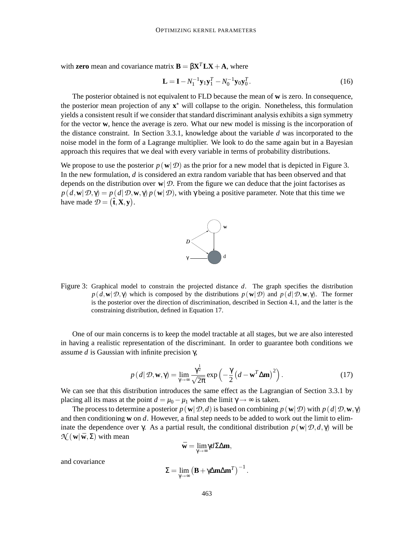with **zero** mean and covariance matrix  $\mathbf{B} = \beta \mathbf{X}^T \mathbf{L} \mathbf{X} + \mathbf{A}$ , where

$$
\mathbf{L} = \mathbf{I} - N_1^{-1} \mathbf{y}_1 \mathbf{y}_1^T - N_0^{-1} \mathbf{y}_0 \mathbf{y}_0^T.
$$
 (16)

The posterior obtained is not equivalent to FLD because the mean of **w** is zero. In consequence, the posterior mean projection of any  $x^*$  will collapse to the origin. Nonetheless, this formulation yields a consistent result if we consider that standard discriminant analysis exhibits a sign symmetry for the vector **w**, hence the average is zero. What our new model is missing is the incorporation of the distance constraint. In Section 3.3.1, knowledge about the variable *d* was incorporated to the noise model in the form of a Lagrange multiplier. We look to do the same again but in a Bayesian approach this requires that we deal with every variable in terms of probability distributions.

We propose to use the posterior  $p(\mathbf{w}|\mathcal{D})$  as the prior for a new model that is depicted in Figure 3. In the new formulation, *d* is considered an extra random variable that has been observed and that depends on the distribution over  $\mathbf{w}|\mathcal{D}$ . From the figure we can deduce that the joint factorises as  $p(d, \mathbf{w}|\mathcal{D}, \gamma) = p(d|\mathcal{D}, \mathbf{w}, \gamma) p(\mathbf{w}|\mathcal{D})$ , with γ being a positive parameter. Note that this time we have made  $\mathcal{D} = (\hat{\mathbf{t}}, \mathbf{X}, \mathbf{y})$ .



Figure 3: Graphical model to constrain the projected distance *d*. The graph specifies the distribution  $p(d, \mathbf{w}|\mathcal{D}, \gamma)$  which is composed by the distributions  $p(\mathbf{w}|\mathcal{D})$  and  $p(d|\mathcal{D}, \mathbf{w}, \gamma)$ . The former is the posterior over the direction of discrimination, described in Section 4.1, and the latter is the constraining distribution, defined in Equation 17.

One of our main concerns is to keep the model tractable at all stages, but we are also interested in having a realistic representation of the discriminant. In order to guarantee both conditions we assume *d* is Gaussian with infinite precision γ,

$$
p(d|\mathcal{D}, \mathbf{w}, \gamma) = \lim_{\gamma \to \infty} \frac{\gamma^{\frac{1}{2}}}{\sqrt{2\pi}} \exp\left(-\frac{\gamma}{2} \left(d - \mathbf{w}^T \Delta \mathbf{m}\right)^2\right).
$$
 (17)

We can see that this distribution introduces the same effect as the Lagrangian of Section 3.3.1 by placing all its mass at the point  $d = \mu_0 - \mu_1$  when the limit  $\gamma \rightarrow \infty$  is taken.

The process to determine a posterior  $p(\mathbf{w}|\mathcal{D},d)$  is based on combining  $p(\mathbf{w}|\mathcal{D})$  with  $p(d|\mathcal{D},\mathbf{w},\gamma)$ and then conditioning **w** on *d*. However, a final step needs to be added to work out the limit to eliminate the dependence over  $\gamma$ . As a partial result, the conditional distribution  $p(\mathbf{w}|\mathcal{D}, d, \gamma)$  will be  $\mathcal{N}$  (**w**|**w**,  $\Sigma$ ) with mean

$$
\bar{\mathbf{w}}=\underset{\gamma\rightarrow\infty}{\lim}\gamma d\Sigma\Delta\mathbf{m},
$$

and covariance

$$
\Sigma = \lim_{\gamma \to \infty} \left( \mathbf{B} + \gamma \Delta \mathbf{m} \Delta \mathbf{m}^T \right)^{-1}.
$$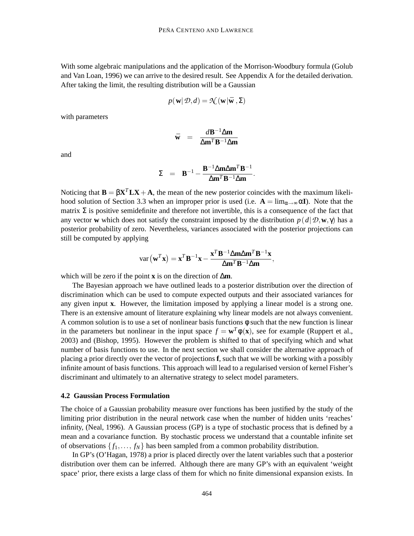With some algebraic manipulations and the application of the Morrison-Woodbury formula (Golub and Van Loan, 1996) we can arrive to the desired result. See Appendix A for the detailed derivation. After taking the limit, the resulting distribution will be a Gaussian

$$
p(\mathbf{w}|\mathcal{D},d) = \mathcal{N}(\mathbf{w}|\bar{\mathbf{w}},\Sigma)
$$

with parameters

$$
\bar{\mathbf{w}} = \frac{d\mathbf{B}^{-1}\Delta\mathbf{m}}{\Delta\mathbf{m}^T\mathbf{B}^{-1}\Delta\mathbf{m}}
$$

and

$$
\Sigma = \mathbf{B}^{-1} - \frac{\mathbf{B}^{-1} \Delta \mathbf{m} \Delta \mathbf{m}^T \mathbf{B}^{-1}}{\Delta \mathbf{m}^T \mathbf{B}^{-1} \Delta \mathbf{m}}.
$$

Noticing that  $\mathbf{B} = \beta \mathbf{X}^T \mathbf{L} \mathbf{X} + \mathbf{A}$ , the mean of the new posterior coincides with the maximum likelihood solution of Section 3.3 when an improper prior is used (i.e.  $\mathbf{A} = \lim_{\alpha \to \infty} \alpha \mathbf{I}$ ). Note that the matrix  $\Sigma$  is positive semidefinite and therefore not invertible, this is a consequence of the fact that any vector **w** which does not satisfy the constraint imposed by the distribution  $p(d|\mathcal{D}, \mathbf{w}, \gamma)$  has a posterior probability of zero. Nevertheless, variances associated with the posterior projections can still be computed by applying

$$
\text{var}\left(\mathbf{w}^T\mathbf{x}\right) = \mathbf{x}^T\mathbf{B}^{-1}\mathbf{x} - \frac{\mathbf{x}^T\mathbf{B}^{-1}\Delta\mathbf{m}\Delta\mathbf{m}^T\mathbf{B}^{-1}\mathbf{x}}{\Delta\mathbf{m}^T\mathbf{B}^{-1}\Delta\mathbf{m}},
$$

which will be zero if the point **x** is on the direction of ∆**m**.

The Bayesian approach we have outlined leads to a posterior distribution over the direction of discrimination which can be used to compute expected outputs and their associated variances for any given input **x**. However, the limitation imposed by applying a linear model is a strong one. There is an extensive amount of literature explaining why linear models are not always convenient. A common solution is to use a set of nonlinear basis functions  $\phi$  such that the new function is linear in the parameters but nonlinear in the input space  $f = \mathbf{w}^T \phi(\mathbf{x})$ , see for example (Ruppert et al., 2003) and (Bishop, 1995). However the problem is shifted to that of specifying which and what number of basis functions to use. In the next section we shall consider the alternative approach of placing a prior directly over the vector of projections **f**, such that we will be working with a possibly infinite amount of basis functions. This approach will lead to a regularised version of kernel Fisher's discriminant and ultimately to an alternative strategy to select model parameters.

#### **4.2 Gaussian Process Formulation**

The choice of a Gaussian probability measure over functions has been justified by the study of the limiting prior distribution in the neural network case when the number of hidden units 'reaches' infinity, (Neal, 1996). A Gaussian process (GP) is a type of stochastic process that is defined by a mean and a covariance function. By stochastic process we understand that a countable infinite set of observations  $\{f_1, \ldots, f_N\}$  has been sampled from a common probability distribution.

In GP's (O'Hagan, 1978) a prior is placed directly over the latent variables such that a posterior distribution over them can be inferred. Although there are many GP's with an equivalent 'weight space' prior, there exists a large class of them for which no finite dimensional expansion exists. In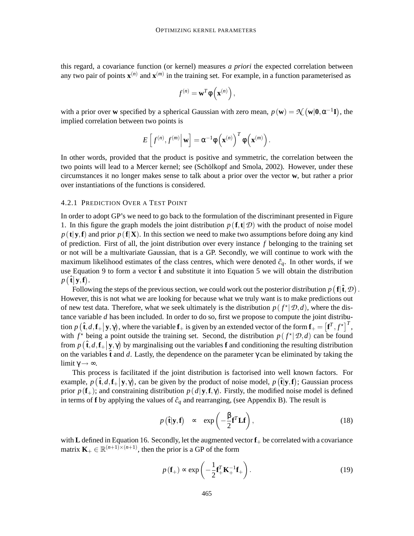this regard, a covariance function (or kernel) measures *a priori* the expected correlation between any two pair of points  $\mathbf{x}^{(n)}$  and  $\mathbf{x}^{(m)}$  in the training set. For example, in a function parameterised as

$$
f^{(n)} = \mathbf{w}^T \phi\left(\mathbf{x}^{(n)}\right),
$$

with a prior over **w** specified by a spherical Gaussian with zero mean,  $p(\mathbf{w}) = \mathcal{N}(\mathbf{w}|\mathbf{0}, \alpha^{-1}\mathbf{I})$ , the implied correlation between two points is

$$
E\left[f^{(n)},f^{(m)}\right|\mathbf{w}\right]=\alpha^{-1}\phi\left(\mathbf{x}^{(n)}\right)^T\phi\left(\mathbf{x}^{(m)}\right).
$$

In other words, provided that the product is positive and symmetric, the correlation between the two points will lead to a Mercer kernel; see (Schölkopf and Smola, 2002). However, under these circumstances it no longer makes sense to talk about a prior over the vector **w**, but rather a prior over instantiations of the functions is considered.

## 4.2.1 PREDICTION OVER A TEST POINT

In order to adopt GP's we need to go back to the formulation of the discriminant presented in Figure 1. In this figure the graph models the joint distribution  $p(f, t | \mathcal{D})$  with the product of noise model  $p(\mathbf{t}|\mathbf{y},\mathbf{f})$  and prior  $p(\mathbf{f}|\mathbf{X})$ . In this section we need to make two assumptions before doing any kind of prediction. First of all, the joint distribution over every instance *f* belonging to the training set or not will be a multivariate Gaussian, that is a GP. Secondly, we will continue to work with the maximum likelihood estimates of the class centres, which were denoted  $\hat{c}_q$ . In other words, if we use Equation 9 to form a vector  $\hat{\mathbf{t}}$  and substitute it into Equation 5 we will obtain the distribution  $p(\hat{\mathbf{t}}|\mathbf{y},\mathbf{f}).$ 

Following the steps of the previous section, we could work out the posterior distribution  $p(\mathbf{f}|\hat{\mathbf{t}},\mathcal{D})$ . However, this is not what we are looking for because what we truly want is to make predictions out of new test data. Therefore, what we seek ultimately is the distribution  $p(f^*|\mathcal{D}, d)$ , where the distance variable *d* has been included. In order to do so, first we propose to compute the joint distribution  $p(\hat{\mathbf{t}}, d, \mathbf{f}_+ | \mathbf{y}, \gamma)$ , where the variable  $\mathbf{f}_+$  is given by an extended vector of the form  $\mathbf{f}_+ = [\mathbf{f}^T, f^*]^T$ , with  $f^*$  being a point outside the training set. Second, the distribution  $p(f^*|\mathcal{D}, d)$  can be found from  $p(\hat{\mathbf{t}}, d, \mathbf{f}_{+} | \mathbf{y}, \gamma)$  by marginalising out the variables **f** and conditioning the resulting distribution on the variables  $\hat{\mathbf{t}}$  and *d*. Lastly, the dependence on the parameter  $\gamma$  can be eliminated by taking the limit  $\gamma \rightarrow \infty$ .

This process is facilitated if the joint distribution is factorised into well known factors. For example,  $p(\hat{\mathbf{t}}, d, \mathbf{f}_+ | \mathbf{y}, \gamma)$ , can be given by the product of noise model,  $p(\hat{\mathbf{t}} | \mathbf{y}, \mathbf{f})$ ; Gaussian process prior  $p(\mathbf{f}_{+})$ ; and constraining distribution  $p(d|\mathbf{y}, \mathbf{f}, \gamma)$ . Firstly, the modified noise model is defined in terms of **f** by applying the values of  $\hat{c}_q$  and rearranging, (see Appendix B). The result is

$$
p(\hat{\mathbf{t}}|\mathbf{y}, \mathbf{f}) \sim \exp\left(-\frac{\beta}{2}\mathbf{f}^T \mathbf{L} \mathbf{f}\right),\tag{18}
$$

with  $\bf{L}$  defined in Equation 16. Secondly, let the augmented vector  $\bf{f}_{+}$  be correlated with a covariance matrix  $\mathbf{K}_{+} \in \mathbb{R}^{(n+1)\times(n+1)}$ , then the prior is a GP of the form

$$
p(\mathbf{f}_{+}) \propto \exp\left(-\frac{1}{2}\mathbf{f}_{+}^{T}\mathbf{K}_{+}^{-1}\mathbf{f}_{+}\right).
$$
 (19)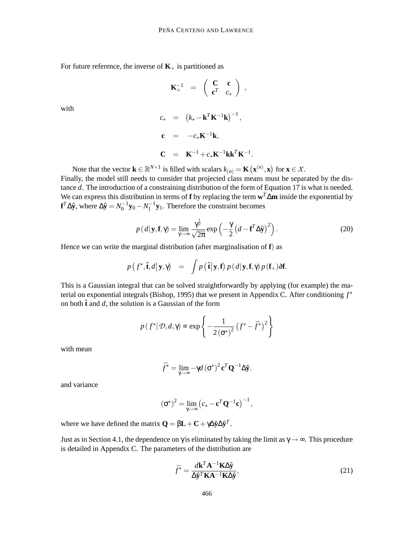For future reference, the inverse of  $K_{+}$  is partitioned as

$$
\mathbf{K}_+^{-1} = \left( \begin{array}{cc} \mathbf{C} & \mathbf{c} \\ \mathbf{c}^T & c_{\star} \end{array} \right) ,
$$

with

$$
c_{\star} = (k_{\star} - \mathbf{k}^{T} \mathbf{K}^{-1} \mathbf{k})^{-1},
$$
  
\n
$$
\mathbf{c} = -c_{\star} \mathbf{K}^{-1} \mathbf{k},
$$
  
\n
$$
\mathbf{C} = \mathbf{K}^{-1} + c_{\star} \mathbf{K}^{-1} \mathbf{k} \mathbf{k}^{T} \mathbf{K}^{-1}.
$$

Note that the vector  $\mathbf{k} \in \mathbb{R}^{N \times 1}$  is filled with scalars  $k_{(n)} = \mathbf{K}(\mathbf{x}^{(n)}, \mathbf{x})$  for  $\mathbf{x} \in \mathcal{X}$ .

Finally, the model still needs to consider that projected class means must be separated by the distance *d*. The introduction of a constraining distribution of the form of Equation 17 is what is needed. We can express this distribution in terms of **f** by replacing the term **w** *<sup>T</sup>*∆**m** inside the exponential by **f**<sup>*T*</sup>∆ $\hat{\mathbf{y}}$ , where  $\Delta \hat{\mathbf{y}} = N_0^{-1} \mathbf{y}_0 - N_1^{-1} \mathbf{y}_1$ . Therefore the constraint becomes

$$
p(d|\mathbf{y}, \mathbf{f}, \gamma) = \lim_{\gamma \to \infty} \frac{\gamma^{\frac{1}{2}}}{\sqrt{2\pi}} \exp\left(-\frac{\gamma}{2} \left(d - \mathbf{f}^T \Delta \hat{\mathbf{y}}\right)^2\right).
$$
 (20)

Hence we can write the marginal distribution (after marginalisation of **f**) as

$$
p\left(f^{\star}, \hat{\mathbf{t}}, d | \mathbf{y}, \gamma\right) = \int p\left(\hat{\mathbf{t}} | \mathbf{y}, \mathbf{f}\right) p\left(d | \mathbf{y}, \mathbf{f}, \gamma\right) p\left(\mathbf{f}_{+}\right) \partial \mathbf{f}.
$$

This is a Gaussian integral that can be solved straightforwardly by applying (for example) the material on exponential integrals (Bishop, 1995) that we present in Appendix C. After conditioning *f* ? on both  $\hat{\mathbf{t}}$  and *d*, the solution is a Gaussian of the form

$$
p(f^*|\mathcal{D}, d, \gamma) \propto \exp\left\{-\frac{1}{2(\sigma^*)^2}(f^* - \bar{f}^*)^2\right\}
$$

with mean

$$
\bar{f}^{\star} = \lim_{\gamma \to \infty} -\gamma d (\sigma^{\star})^2 \mathbf{c}^T \mathbf{Q}^{-1} \Delta \hat{\mathbf{y}}.
$$

and variance

$$
(\sigma^{\star})^2 = \lim_{\gamma \to \infty} (c_{\star} - \mathbf{c}^T \mathbf{Q}^{-1} \mathbf{c})^{-1},
$$

where we have defined the matrix  $\mathbf{Q} = \beta \mathbf{L} + \mathbf{C} + \gamma \Delta \hat{\mathbf{y}} \Delta \hat{\mathbf{y}}^T$ .

Just as in Section 4.1, the dependence on  $\gamma$  is eliminated by taking the limit as  $\gamma \rightarrow \infty$ . This procedure is detailed in Appendix C. The parameters of the distribution are

$$
\bar{f}^* = \frac{d\mathbf{k}^T \mathbf{A}^{-1} \mathbf{K} \Delta \hat{\mathbf{y}}}{\Delta \hat{\mathbf{y}}^T \mathbf{K} \mathbf{A}^{-1} \mathbf{K} \Delta \hat{\mathbf{y}}},\tag{21}
$$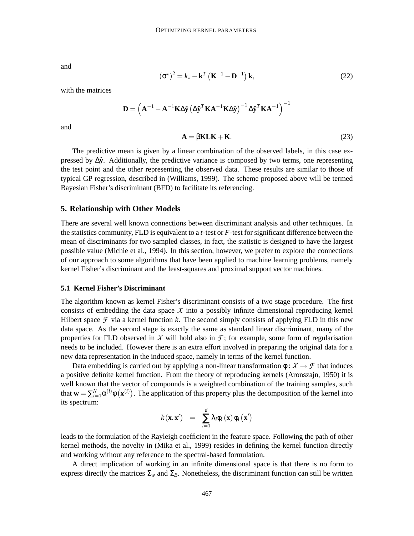and

$$
(\boldsymbol{\sigma}^{\star})^2 = k_{\star} - \mathbf{k}^T \left( \mathbf{K}^{-1} - \mathbf{D}^{-1} \right) \mathbf{k},\tag{22}
$$

with the matrices

$$
\mathbf{D} = \left(\mathbf{A}^{-1} - \mathbf{A}^{-1}\mathbf{K}\Delta\hat{\mathbf{y}}\left(\Delta\hat{\mathbf{y}}^T\mathbf{K}\mathbf{A}^{-1}\mathbf{K}\Delta\hat{\mathbf{y}}\right)^{-1}\Delta\hat{\mathbf{y}}^T\mathbf{K}\mathbf{A}^{-1}\right)^{-1}
$$

and

$$
\mathbf{A} = \beta \mathbf{K} \mathbf{L} \mathbf{K} + \mathbf{K}.\tag{23}
$$

The predictive mean is given by a linear combination of the observed labels, in this case expressed by  $\Delta \hat{y}$ . Additionally, the predictive variance is composed by two terms, one representing the test point and the other representing the observed data. These results are similar to those of typical GP regression, described in (Williams, 1999). The scheme proposed above will be termed Bayesian Fisher's discriminant (BFD) to facilitate its referencing.

#### **5. Relationship with Other Models**

There are several well known connections between discriminant analysis and other techniques. In the statistics community, FLD is equivalent to a *t*-test or *F*-test for significant difference between the mean of discriminants for two sampled classes, in fact, the statistic is designed to have the largest possible value (Michie et al., 1994). In this section, however, we prefer to explore the connections of our approach to some algorithms that have been applied to machine learning problems, namely kernel Fisher's discriminant and the least-squares and proximal support vector machines.

#### **5.1 Kernel Fisher's Discriminant**

The algorithm known as kernel Fisher's discriminant consists of a two stage procedure. The first consists of embedding the data space  $X$  into a possibly infinite dimensional reproducing kernel Hilbert space  $\mathcal F$  via a kernel function  $k$ . The second simply consists of applying FLD in this new data space. As the second stage is exactly the same as standard linear discriminant, many of the properties for FLD observed in X will hold also in  $\mathcal{F}$ ; for example, some form of regularisation needs to be included. However there is an extra effort involved in preparing the original data for a new data representation in the induced space, namely in terms of the kernel function.

Data embedding is carried out by applying a non-linear transformation  $\phi : \mathcal{X} \to \mathcal{F}$  that induces a positive definite kernel function. From the theory of reproducing kernels (Aronszajn, 1950) it is well known that the vector of compounds is a weighted combination of the training samples, such that  $\mathbf{w} = \sum_{i=1}^{N} \alpha^{(i)} \phi \left( \mathbf{x}^{(i)} \right)$ . The application of this property plus the decomposition of the kernel into its spectrum:

$$
k(\mathbf{x}, \mathbf{x}') = \sum_{i=1}^d \lambda_i \phi_i(\mathbf{x}) \phi_i(\mathbf{x}')
$$

leads to the formulation of the Rayleigh coefficient in the feature space. Following the path of other kernel methods, the novelty in (Mika et al., 1999) resides in defining the kernel function directly and working without any reference to the spectral-based formulation.

A direct implication of working in an infinite dimensional space is that there is no form to express directly the matrices  $\Sigma_w$  and  $\Sigma_B$ . Nonetheless, the discriminant function can still be written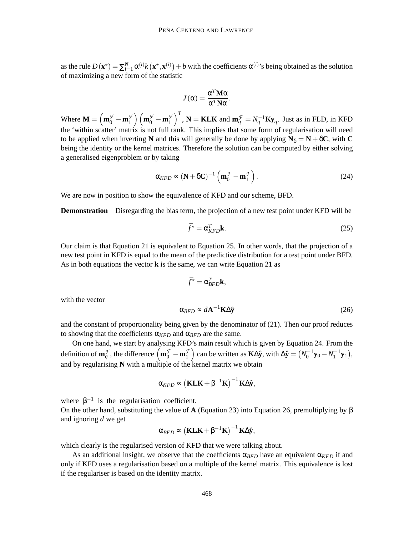as the rule  $D(\mathbf{x}^*) = \sum_{i=1}^N \alpha^{(i)} k(\mathbf{x}^*, \mathbf{x}^{(i)}) + b$  with the coefficients  $\alpha^{(i)}$ 's being obtained as the solution of maximizing a new form of the statistic

$$
J(\alpha) = \frac{\alpha^T \mathbf{M} \alpha}{\alpha^T \mathbf{N} \alpha}.
$$

Where  $\mathbf{M} = \left(\mathbf{m}_0^{\mathcal{F}} - \mathbf{m}_1^{\mathcal{F}}\right) \left(\mathbf{m}_0^{\mathcal{F}} - \mathbf{m}_1^{\mathcal{F}}\right)^T$ ,  $\mathbf{N} = \mathbf{K L K}$  and  $\mathbf{m}_q^{\mathcal{F}} = N_q^{-1} \mathbf{K y}_q$ . Just as in FLD, in KFD the 'within scatter' matrix is not full rank. This implies that some form of regularisation will need to be applied when inverting **N** and this will generally be done by applying  $N_{\delta} = N + \delta C$ , with C being the identity or the kernel matrices. Therefore the solution can be computed by either solving a generalised eigenproblem or by taking

$$
\alpha_{KFD} \propto (\mathbf{N} + \delta \mathbf{C})^{-1} \left( \mathbf{m}_0^{\mathcal{F}} - \mathbf{m}_1^{\mathcal{F}} \right). \tag{24}
$$

We are now in position to show the equivalence of KFD and our scheme, BFD.

**Demonstration** Disregarding the bias term, the projection of a new test point under KFD will be

$$
\bar{f}^{\star} = \alpha_{KFD}^T \mathbf{k}.\tag{25}
$$

Our claim is that Equation 21 is equivalent to Equation 25. In other words, that the projection of a new test point in KFD is equal to the mean of the predictive distribution for a test point under BFD. As in both equations the vector **k** is the same, we can write Equation 21 as

$$
\bar{f}^{\star} = \alpha_{BFD}^T \mathbf{k},
$$

with the vector

$$
\alpha_{BFD} \sim d\mathbf{A}^{-1} \mathbf{K} \Delta \hat{\mathbf{y}} \tag{26}
$$

and the constant of proportionality being given by the denominator of (21). Then our proof reduces to showing that the coefficients  $\alpha_{KFD}$  and  $\alpha_{BFD}$  are the same.

On one hand, we start by analysing KFD's main result which is given by Equation 24. From the definition of  $\mathbf{m}_q^{\mathcal{F}}$ , the difference  $(\mathbf{m}_0^{\mathcal{F}} - \mathbf{m}_1^{\mathcal{F}})$  can be written as  $\mathbf{K}\Delta\hat{\mathbf{y}}$ , with  $\Delta\hat{\mathbf{y}} = (N_0^{-1}\mathbf{y}_0 - N_1^{-1}\mathbf{y}_1)$ , and by regularising **N** with a multiple of the kernel matrix we obtain

$$
\alpha_{\text{KFD}} \propto \left( \mathbf{K L K} + \beta^{-1} \mathbf{K} \right)^{-1} \mathbf{K} \Delta \hat{\mathbf{y}},
$$

where  $\beta^{-1}$  is the regularisation coefficient.

On the other hand, substituting the value of **A** (Equation 23) into Equation 26, premultiplying by β and ignoring *d* we get

$$
\alpha_{\text{BFD}} \propto \left(\mathbf{K L K} + \beta^{-1} \mathbf{K}\right)^{-1} \mathbf{K} \Delta \hat{\mathbf{y}},
$$

which clearly is the regularised version of KFD that we were talking about.

As an additional insight, we observe that the coefficients  $\alpha_{RFD}$  have an equivalent  $\alpha_{KFD}$  if and only if KFD uses a regularisation based on a multiple of the kernel matrix. This equivalence is lost if the regulariser is based on the identity matrix.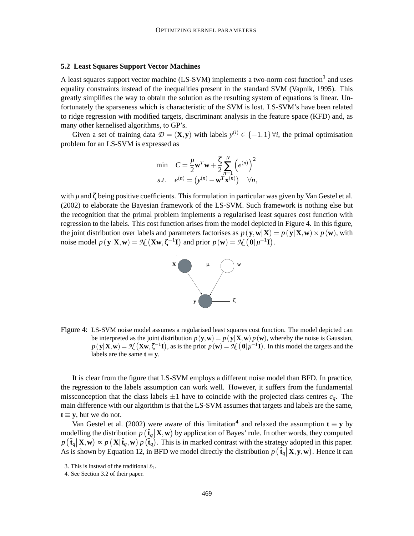#### **5.2 Least Squares Support Vector Machines**

A least squares support vector machine (LS-SVM) implements a two-norm cost function<sup>3</sup> and uses equality constraints instead of the inequalities present in the standard SVM (Vapnik, 1995). This greatly simplifies the way to obtain the solution as the resulting system of equations is linear. Unfortunately the sparseness which is characteristic of the SVM is lost. LS-SVM's have been related to ridge regression with modified targets, discriminant analysis in the feature space (KFD) and, as many other kernelised algorithms, to GP's.

Given a set of training data  $\mathcal{D} = (\mathbf{X}, \mathbf{y})$  with labels  $y^{(i)} \in \{-1, 1\} \forall i$ , the primal optimisation problem for an LS-SVM is expressed as

$$
\begin{array}{ll}\n\text{min} & C = \frac{\mu}{2} \mathbf{w}^T \mathbf{w} + \frac{\zeta}{2} \sum_{n=1}^N \left( e^{(n)} \right)^2 \\
\text{s.t.} & e^{(n)} = \left( y^{(n)} - \mathbf{w}^T \mathbf{x}^{(n)} \right) \quad \forall n,\n\end{array}
$$

with  $\mu$  and  $\zeta$  being positive coefficients. This formulation in particular was given by Van Gestel et al. (2002) to elaborate the Bayesian framework of the LS-SVM. Such framework is nothing else but the recognition that the primal problem implements a regularised least squares cost function with regression to the labels. This cost function arises from the model depicted in Figure 4. In this figure, the joint distribution over labels and parameters factorises as  $p(\mathbf{y}, \mathbf{w}|\mathbf{X}) = p(\mathbf{y}|\mathbf{X}, \mathbf{w}) \times p(\mathbf{w})$ , with noise model  $p(\mathbf{y}|\mathbf{X}, \mathbf{w}) = \mathcal{N}(\mathbf{X}\mathbf{w}, \zeta^{-1}\mathbf{I})$  and prior  $p(\mathbf{w}) = \mathcal{N}(\mathbf{0}|\mu^{-1}\mathbf{I}).$ 



Figure 4: LS-SVM noise model assumes a regularised least squares cost function. The model depicted can be interpreted as the joint distribution  $p(\mathbf{y}, \mathbf{w}) = p(\mathbf{y}|\mathbf{X}, \mathbf{w}) p(\mathbf{w})$ , whereby the noise is Gaussian,  $p(\mathbf{y}|\mathbf{X}, \mathbf{w}) = \mathcal{N}(\mathbf{X}\mathbf{w}, \zeta^{-1}\mathbf{I})$ , as is the prior  $p(\mathbf{w}) = \mathcal{N}(\mathbf{0}|\mu^{-1}\mathbf{I})$ . In this model the targets and the labels are the same  $t \equiv y$ .

It is clear from the figure that LS-SVM employs a different noise model than BFD. In practice, the regression to the labels assumption can work well. However, it suffers from the fundamental missconception that the class labels  $\pm 1$  have to coincide with the projected class centres  $c_q$ . The main difference with our algorithm is that the LS-SVM assumes that targets and labels are the same,  $t \equiv y$ , but we do not.

Van Gestel et al. (2002) were aware of this limitation<sup>4</sup> and relaxed the assumption  $\mathbf{t} \equiv \mathbf{y}$  by modelling the distribution  $p\left(\hat{\mathbf{t}}_q | \mathbf{X}, \mathbf{w}\right)$  by application of Bayes' rule. In other words, they computed  $p(\hat{\mathbf{t}}_q | \mathbf{X}, \mathbf{w}) \propto p(\mathbf{X} | \hat{\mathbf{t}}_q, \mathbf{w}) p(\hat{\mathbf{t}}_q)$ . This is in marked contrast with the strategy adopted in this paper. As is shown by Equation 12, in BFD we model directly the distribution  $p(\hat{\mathbf{t}}_q | \mathbf{X}, \mathbf{y}, \mathbf{w})$ . Hence it can

<sup>3.</sup> This is instead of the traditional  $\ell_1$ .

<sup>4.</sup> See Section 3.2 of their paper.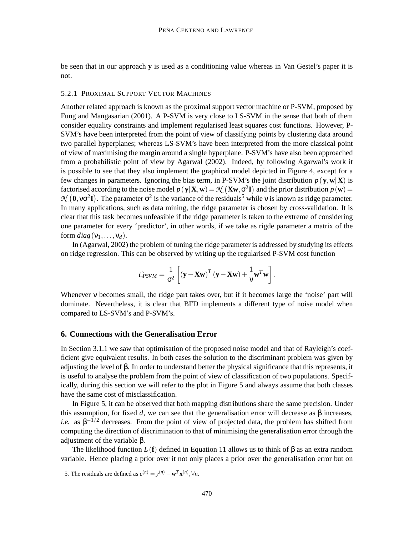be seen that in our approach **y** is used as a conditioning value whereas in Van Gestel's paper it is not.

## 5.2.1 PROXIMAL SUPPORT VECTOR MACHINES

Another related approach is known as the proximal support vector machine or P-SVM, proposed by Fung and Mangasarian (2001). A P-SVM is very close to LS-SVM in the sense that both of them consider equality constraints and implement regularised least squares cost functions. However, P-SVM's have been interpreted from the point of view of classifying points by clustering data around two parallel hyperplanes; whereas LS-SVM's have been interpreted from the more classical point of view of maximising the margin around a single hyperplane. P-SVM's have also been approached from a probabilistic point of view by Agarwal (2002). Indeed, by following Agarwal's work it is possible to see that they also implement the graphical model depicted in Figure 4, except for a few changes in parameters. Ignoring the bias term, in P-SVM's the joint distribution  $p(\mathbf{y}, \mathbf{w}|\mathbf{X})$  is factorised according to the noise model  $p(\mathbf{y}|\mathbf{X}, \mathbf{w}) = \mathcal{N}(\mathbf{X}\mathbf{w}, \sigma^2 \mathbf{I})$  and the prior distribution  $p(\mathbf{w}) =$  $\mathcal{N}$  (0, v $\sigma^2$ **I**). The parameter  $\sigma^2$  is the variance of the residuals<sup>5</sup> while v is known as ridge parameter. In many applications, such as data mining, the ridge parameter is chosen by cross-validation. It is clear that this task becomes unfeasible if the ridge parameter is taken to the extreme of considering one parameter for every 'predictor', in other words, if we take as rigde parameter a matrix of the form  $diag(v_1,...,v_d)$ .

In (Agarwal, 2002) the problem of tuning the ridge parameter is addressed by studying its effects on ridge regression. This can be observed by writing up the regularised P-SVM cost function

$$
C_{PSVM} = \frac{1}{\sigma^2} \left[ \left( \mathbf{y} - \mathbf{X} \mathbf{w} \right)^T \left( \mathbf{y} - \mathbf{X} \mathbf{w} \right) + \frac{1}{\nu} \mathbf{w}^T \mathbf{w} \right].
$$

Whenever ν becomes small, the ridge part takes over, but if it becomes large the 'noise' part will dominate. Nevertheless, it is clear that BFD implements a different type of noise model when compared to LS-SVM's and P-SVM's.

## **6. Connections with the Generalisation Error**

In Section 3.1.1 we saw that optimisation of the proposed noise model and that of Rayleigh's coefficient give equivalent results. In both cases the solution to the discriminant problem was given by adjusting the level of β. In order to understand better the physical significance that this represents, it is useful to analyse the problem from the point of view of classification of two populations. Specifically, during this section we will refer to the plot in Figure 5 and always assume that both classes have the same cost of misclassification.

In Figure 5, it can be observed that both mapping distributions share the same precision. Under this assumption, for fixed *d*, we can see that the generalisation error will decrease as  $\beta$  increases, *i.e.* as  $\beta^{-1/2}$  decreases. From the point of view of projected data, the problem has shifted from computing the direction of discrimination to that of minimising the generalisation error through the adjustment of the variable β.

The likelihood function *L*(**f**) defined in Equation 11 allows us to think of β as an extra random variable. Hence placing a prior over it not only places a prior over the generalisation error but on

<sup>5.</sup> The residuals are defined as  $e^{(n)} = y^{(n)} - \mathbf{w}^T \mathbf{x}^{(n)}, \forall n$ .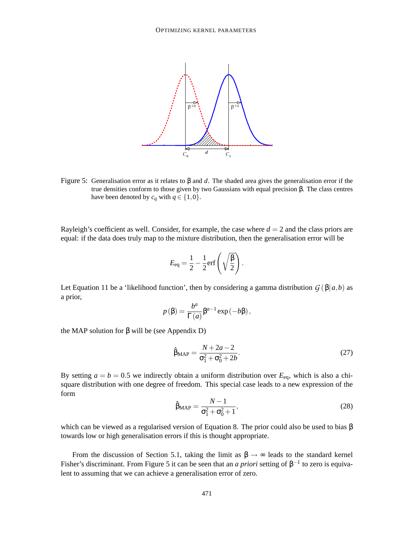

Figure 5: Generalisation error as it relates to β and *d*. The shaded area gives the generalisation error if the true densities conform to those given by two Gaussians with equal precision β. The class centres have been denoted by  $c_q$  with  $q \in \{1,0\}$ .

Rayleigh's coefficient as well. Consider, for example, the case where  $d = 2$  and the class priors are equal: if the data does truly map to the mixture distribution, then the generalisation error will be

$$
E_{\text{eq}} = \frac{1}{2} - \frac{1}{2} \text{erf}\left(\sqrt{\frac{\beta}{2}}\right).
$$

Let Equation 11 be a 'likelihood function', then by considering a gamma distribution  $G(\beta|a,b)$  as a prior,

$$
p(\beta) = \frac{b^a}{\Gamma(a)} \beta^{a-1} \exp(-b\beta),
$$

the MAP solution for  $β$  will be (see Appendix D)

$$
\hat{\beta}_{MAP} = \frac{N + 2a - 2}{\sigma_1^2 + \sigma_0^2 + 2b}.
$$
\n(27)

By setting  $a = b = 0.5$  we indirectly obtain a uniform distribution over  $E_{eq}$ , which is also a chisquare distribution with one degree of freedom. This special case leads to a new expression of the form

$$
\hat{\beta}_{MAP} = \frac{N-1}{\sigma_1^2 + \sigma_0^2 + 1},
$$
\n(28)

which can be viewed as a regularised version of Equation 8. The prior could also be used to bias  $\beta$ towards low or high generalisation errors if this is thought appropriate.

From the discussion of Section 5.1, taking the limit as  $\beta \rightarrow \infty$  leads to the standard kernel Fisher's discriminant. From Figure 5 it can be seen that an *a priori* setting of  $\beta^{-1}$  to zero is equivalent to assuming that we can achieve a generalisation error of zero.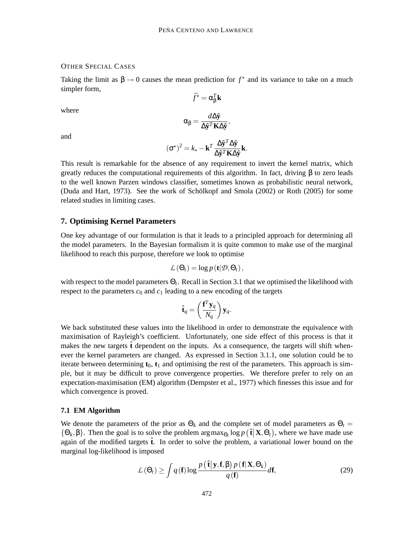#### OTHER SPECIAL CASES

Taking the limit as  $\beta \rightarrow 0$  causes the mean prediction for  $f^*$  and its variance to take on a much simpler form,

 $\bar{f}^{\star} = \alpha_{\beta}^{T} \mathbf{k}$ 

where

$$
\alpha_{\beta}=\frac{d\Delta\hat{\mathbf{y}}}{\Delta\hat{\mathbf{y}}^T\mathbf{K}\Delta\hat{\mathbf{y}}},
$$

and

$$
(\sigma^{\star})^2 = k_{\star} - \mathbf{k}^T \frac{\Delta \hat{\mathbf{y}}^T \Delta \hat{\mathbf{y}}}{\Delta \hat{\mathbf{y}}^T \mathbf{K} \Delta \hat{\mathbf{y}}}\mathbf{k}.
$$

This result is remarkable for the absence of any requirement to invert the kernel matrix, which greatly reduces the computational requirements of this algorithm. In fact, driving  $\beta$  to zero leads to the well known Parzen windows classifier, sometimes known as probabilistic neural network, (Duda and Hart, 1973). See the work of Schölkopf and Smola (2002) or Roth (2005) for some related studies in limiting cases.

#### **7. Optimising Kernel Parameters**

One key advantage of our formulation is that it leads to a principled approach for determining all the model parameters. In the Bayesian formalism it is quite common to make use of the marginal likelihood to reach this purpose, therefore we look to optimise

$$
\mathcal{L}(\Theta_t) = \log p(\mathbf{t}|\mathcal{D}, \Theta_t),
$$

with respect to the model parameters Θ*<sup>t</sup>* . Recall in Section 3.1 that we optimised the likelihood with respect to the parameters  $c_0$  and  $c_1$  leading to a new encoding of the targets

$$
\hat{\mathbf{t}}_q = \left(\frac{\mathbf{f}^T \mathbf{y}_q}{N_q}\right) \mathbf{y}_q.
$$

We back substituted these values into the likelihood in order to demonstrate the equivalence with maximisation of Rayleigh's coefficient. Unfortunately, one side effect of this process is that it makes the new targets  $\hat{\mathbf{t}}$  dependent on the inputs. As a consequence, the targets will shift whenever the kernel parameters are changed. As expressed in Section 3.1.1, one solution could be to iterate between determining  $t_0$ ,  $t_1$  and optimising the rest of the parameters. This approach is simple, but it may be difficult to prove convergence properties. We therefore prefer to rely on an expectation-maximisation (EM) algorithm (Dempster et al., 1977) which finesses this issue and for which convergence is proved.

#### **7.1 EM Algorithm**

We denote the parameters of the prior as  $\Theta_k$  and the complete set of model parameters as  $\Theta_t =$ { $\Theta_k, \beta$ }. Then the goal is to solve the problem  $\arg \max_{\Theta_t} \log p(\hat{\mathbf{t}} | \mathbf{X}, \Theta_t)$ , where we have made use again of the modified targets  $\hat{\mathbf{t}}$ . In order to solve the problem, a variational lower bound on the marginal log-likelihood is imposed

$$
\mathcal{L}(\Theta_t) \ge \int q(\mathbf{f}) \log \frac{p(\hat{\mathbf{t}} | \mathbf{y}, \mathbf{f}, \beta) p(\mathbf{f} | \mathbf{X}, \Theta_k)}{q(\mathbf{f})} d\mathbf{f},
$$
\n(29)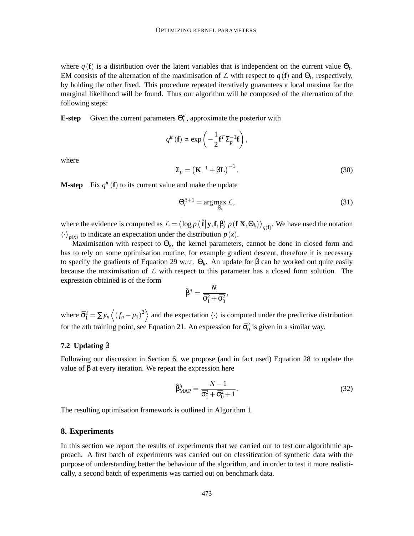where  $q(\mathbf{f})$  is a distribution over the latent variables that is independent on the current value  $\Theta_t$ . EM consists of the alternation of the maximisation of  $\mathcal{L}$  with respect to  $q(\mathbf{f})$  and  $\Theta_t$ , respectively, by holding the other fixed. This procedure repeated iteratively guarantees a local maxima for the marginal likelihood will be found. Thus our algorithm will be composed of the alternation of the following steps:

**E-step** Given the current parameters  $\Theta_t^i$ , approximate the posterior with

$$
q^{it}(\mathbf{f}) \propto \exp\left(-\frac{1}{2}\mathbf{f}^T \Sigma_p^{-1} \mathbf{f}\right),
$$
  

$$
\Sigma_p = \left(\mathbf{K}^{-1} + \beta \mathbf{L}\right)^{-1}.
$$
 (30)

where

**M-step** Fix 
$$
q^{it}
$$
 (**f**) to its current value and make the update

$$
\Theta_t^{it+1} = \arg \max_{\Theta_t} \mathcal{L},\tag{31}
$$

where the evidence is computed as  $\mathcal{L} = \langle \log p \left( \hat{\mathbf{t}} | \mathbf{y}, \mathbf{f}, \beta \right) p \left( \mathbf{f} | \mathbf{X}, \Theta_k \right) \rangle_{q(\mathbf{f})}$ . We have used the notation  $\langle \cdot \rangle_{p(x)}$  to indicate an expectation under the distribution  $p(x)$ .

Maximisation with respect to  $\Theta_k$ , the kernel parameters, cannot be done in closed form and has to rely on some optimisation routine, for example gradient descent, therefore it is necessary to specify the gradients of Equation 29 w.r.t. Θ*k*. An update for β can be worked out quite easily because the maximisation of  $\mathcal L$  with respect to this parameter has a closed form solution. The expression obtained is of the form

$$
\hat{\beta}^{it} = \frac{N}{\bar{\sigma}_1^2 + \bar{\sigma}_0^2},
$$

where  $\bar{\sigma}_1^2 = \sum y_n \langle (f_n - \mu_1)^2 \rangle$  and the expectation  $\langle \cdot \rangle$  is computed under the predictive distribution for the *n*th training point, see Equation 21. An expression for  $\bar{\sigma}_0^2$  is given in a similar way.

## **7.2 Updating** β

Following our discussion in Section 6, we propose (and in fact used) Equation 28 to update the value of β at every iteration. We repeat the expression here

$$
\hat{\beta}^{it}_{MAP} = \frac{N-1}{\bar{\sigma}_1^2 + \bar{\sigma}_0^2 + 1}.
$$
\n(32)

The resulting optimisation framework is outlined in Algorithm 1.

## **8. Experiments**

In this section we report the results of experiments that we carried out to test our algorithmic approach. A first batch of experiments was carried out on classification of synthetic data with the purpose of understanding better the behaviour of the algorithm, and in order to test it more realistically, a second batch of experiments was carried out on benchmark data.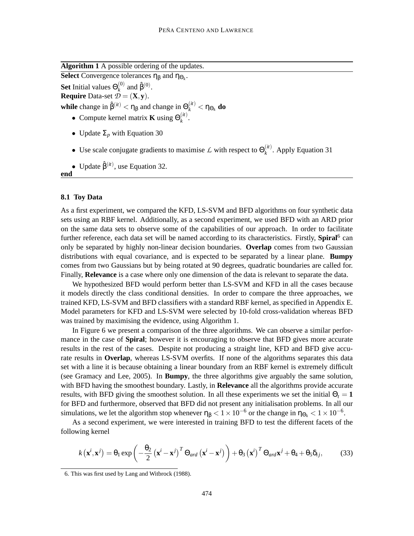**Algorithm 1** A possible ordering of the updates.

**Select** Convergence tolerances  $\eta_{\beta}$  and  $\eta_{\Theta_k}$ . **Set** Initial values  $\Theta_k^{(0)}$  $_{k}^{(0)}$  and  $\hat{\beta}^{(0)}$ .

**Require** Data-set  $\tilde{\mathcal{D}} = (\mathbf{X}, \mathbf{y})$ .

**while** change in  $\hat{\beta}^{(it)} < \eta_{\beta}$  and change in  $\Theta_k^{(it)} < \eta_{\Theta_k}$  **do** 

- Compute kernel matrix **K** using  $\Theta_k^{(it)}$ *k* .
- Update  $\Sigma_p$  with Equation 30
- Use scale conjugate gradients to maximise  $\mathcal L$  with respect to  $\Theta_k^{(it)}$  $k^{(u)}$ . Apply Equation 31
- Update  $\hat{\beta}^{(it)}$ , use Equation 32.

#### **8.1 Toy Data**

**end**

As a first experiment, we compared the KFD, LS-SVM and BFD algorithms on four synthetic data sets using an RBF kernel. Additionally, as a second experiment, we used BFD with an ARD prior on the same data sets to observe some of the capabilities of our approach. In order to facilitate further reference, each data set will be named according to its characteristics. Firstly, Spiral<sup>6</sup> can only be separated by highly non-linear decision boundaries. **Overlap** comes from two Gaussian distributions with equal covariance, and is expected to be separated by a linear plane. **Bumpy** comes from two Gaussians but by being rotated at 90 degrees, quadratic boundaries are called for. Finally, **Relevance** is a case where only one dimension of the data is relevant to separate the data.

We hypothesized BFD would perform better than LS-SVM and KFD in all the cases because it models directly the class conditional densities. In order to compare the three approaches, we trained KFD, LS-SVM and BFD classifiers with a standard RBF kernel, as specified in Appendix E. Model parameters for KFD and LS-SVM were selected by 10-fold cross-validation whereas BFD was trained by maximising the evidence, using Algorithm 1.

In Figure 6 we present a comparison of the three algorithms. We can observe a similar performance in the case of **Spiral**; however it is encouraging to observe that BFD gives more accurate results in the rest of the cases. Despite not producing a straight line, KFD and BFD give accurate results in **Overlap**, whereas LS-SVM overfits. If none of the algorithms separates this data set with a line it is because obtaining a linear boundary from an RBF kernel is extremely difficult (see Gramacy and Lee, 2005). In **Bumpy**, the three algorithms give arguably the same solution, with BFD having the smoothest boundary. Lastly, in **Relevance** all the algorithms provide accurate results, with BFD giving the smoothest solution. In all these experiments we set the initial  $\Theta_t = 1$ for BFD and furthermore, observed that BFD did not present any initialisation problems. In all our simulations, we let the algorithm stop whenever  $\eta_{\beta} < 1 \times 10^{-6}$  or the change in  $\eta_{\Theta_k} < 1 \times 10^{-6}$ .

As a second experiment, we were interested in training BFD to test the different facets of the following kernel

$$
k(\mathbf{x}^i, \mathbf{x}^j) = \theta_1 \exp\left(-\frac{\theta_2}{2} (\mathbf{x}^i - \mathbf{x}^j)^T \Theta_{ard} (\mathbf{x}^i - \mathbf{x}^j)\right) + \theta_3 (\mathbf{x}^i)^T \Theta_{ard} \mathbf{x}^j + \theta_4 + \theta_5 \delta_{ij},
$$
(33)

<sup>6.</sup> This was first used by Lang and Witbrock (1988).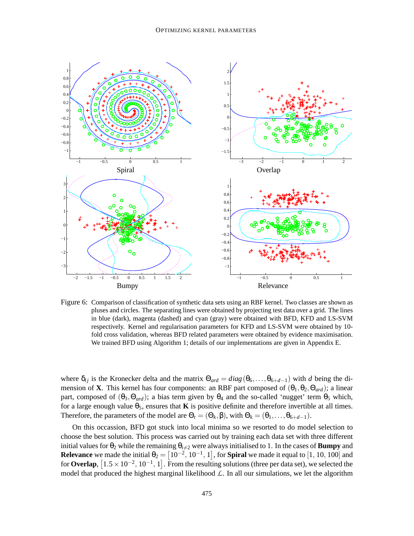

Figure 6: Comparison of classification of synthetic data sets using an RBF kernel. Two classes are shown as pluses and circles. The separating lines were obtained by projecting test data over a grid. The lines in blue (dark), magenta (dashed) and cyan (gray) were obtained with BFD, KFD and LS-SVM respectively. Kernel and regularisation parameters for KFD and LS-SVM were obtained by 10 fold cross validation, whereas BFD related parameters were obtained by evidence maximisation. We trained BFD using Algorithm 1; details of our implementations are given in Appendix E.

where  $\delta_{ij}$  is the Kronecker delta and the matrix  $\Theta_{ard} = diag(\theta_6,\ldots,\theta_{6+d-1})$  with *d* being the dimension of **X**. This kernel has four components: an RBF part composed of  $(\theta_1, \theta_2, \theta_{ard})$ ; a linear part, composed of  $(\theta_3, \Theta_{ard})$ ; a bias term given by  $\theta_4$  and the so-called 'nugget' term  $\theta_5$  which, for a large enough value  $\theta_5$ , ensures that **K** is positive definite and therefore invertible at all times. Therefore, the parameters of the model are  $\Theta_t = (\Theta_k, \beta)$ , with  $\Theta_k = (\theta_1, \dots, \theta_{6+d-1})$ .

On this occassion, BFD got stuck into local minima so we resorted to do model selection to choose the best solution. This process was carried out by training each data set with three different initial values for  $\theta_2$  while the remaining  $\theta_{i\neq 2}$  were always initialised to 1. In the cases of **Bumpy** and **Relevance** we made the initial  $\theta_2 = \left[10^{-2}, 10^{-1}, 1\right]$ , for **Spiral** we made it equal to  $\left[1, 10, 100\right]$  and for **Overlap**,  $[1.5 \times 10^{-2}, 10^{-1}, 1]$ . From the resulting solutions (three per data set), we selected the model that produced the highest marginal likelihood  $\mathcal{L}$ . In all our simulations, we let the algorithm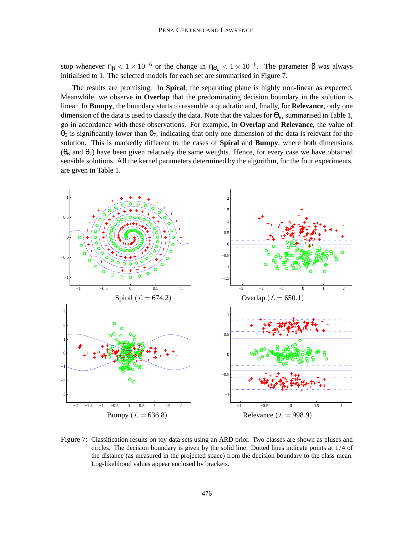stop whenever  $\eta_{\beta} < 1 \times 10^{-6}$  or the change in  $\eta_{\Theta_k} < 1 \times 10^{-6}$ . The parameter  $\beta$  was always initialised to 1. The selected models for each set are summarised in Figure 7.

The results are promising. In **Spiral**, the separating plane is highly non-linear as expected. Meanwhile, we observe in **Overlap** that the predominating decision boundary in the solution is linear. In **Bumpy**, the boundary starts to resemble a quadratic and, finally, for **Relevance**, only one dimension of the data is used to classify the data. Note that the values for  $\Theta_k$ , summarised in Table 1, go in accordance with these observations. For example, in **Overlap** and **Relevance**, the value of  $θ_6$  is significantly lower than  $θ_7$ , indicating that only one dimension of the data is relevant for the solution. This is markedly different to the cases of **Spiral** and **Bumpy**, where both dimensions  $(\theta_6$  and  $\theta_7)$  have been given relatively the same weights. Hence, for every case we have obtained sensible solutions. All the kernel parameters determined by the algorithm, for the four experiments, are given in Table 1.



Figure 7: Classification results on toy data sets using an ARD prior. Two classes are shown as pluses and circles. The decision boundary is given by the solid line. Dotted lines indicate points at  $1/4$  of the distance (as measured in the projected space) from the decision boundary to the class mean. Log-likelihood values appear enclosed by brackets.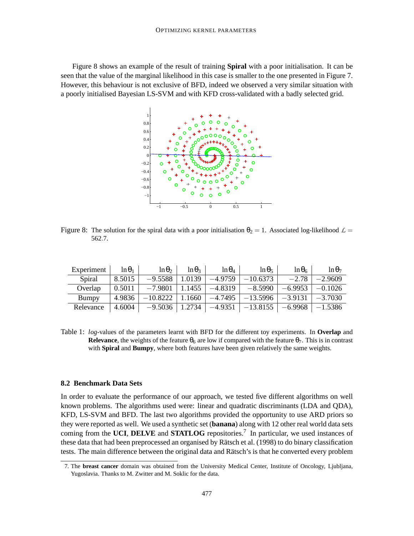Figure 8 shows an example of the result of training **Spiral** with a poor initialisation. It can be seen that the value of the marginal likelihood in this case is smaller to the one presented in Figure 7. However, this behaviour is not exclusive of BFD, indeed we observed a very similar situation with a poorly initialised Bayesian LS-SVM and with KFD cross-validated with a badly selected grid.



Figure 8: The solution for the spiral data with a poor initialisation  $\theta_2 = 1$ . Associated log-likelihood  $\mathcal{L} =$ 562.7.

| Experiment | $\ln \theta_1$ | $\ln \theta_2$ | $\ln \theta_3$       | $\ln \theta_4$       | $\ln \theta_5$                                                       | $\ln \theta_6$ | $\ln \theta_7$ |
|------------|----------------|----------------|----------------------|----------------------|----------------------------------------------------------------------|----------------|----------------|
| Spiral     | 8.5015         | $-9.5588$      | $\vert 1.0139 \vert$ | $-4.9759$            | $-10.6373$                                                           | $-2.78$        | $-2.9609$      |
| Overlap    | 0.5011         | $-7.9801$      |                      | $1.1455$   $-4.8319$ | $-8.5990$                                                            | $-6.9953$      | $-0.1026$      |
| Bumpy      | 4.9836         |                |                      |                      | $-10.8222$   1.1660   $-4.7495$   $-13.5996$   $-3.9131$   $-3.7030$ |                |                |
| Relevance  | 4.6004         |                |                      |                      | $-9.5036$   1.2734   $-4.9351$   $-13.8155$   $-6.9968$   $-1.5386$  |                |                |

Table 1: *log*-values of the parameters learnt with BFD for the different toy experiments. In **Overlap** and **Relevance**, the weights of the feature  $\theta_6$  are low if compared with the feature  $\theta_7$ . This is in contrast with **Spiral** and **Bumpy**, where both features have been given relatively the same weights.

## **8.2 Benchmark Data Sets**

In order to evaluate the performance of our approach, we tested five different algorithms on well known problems. The algorithms used were: linear and quadratic discriminants (LDA and QDA), KFD, LS-SVM and BFD. The last two algorithms provided the opportunity to use ARD priors so they were reported as well. We used a synthetic set (**banana**) along with 12 other real world data sets coming from the **UCI**, **DELVE** and **STATLOG** repositories.<sup>7</sup> In particular, we used instances of these data that had been preprocessed an organised by Rätsch et al. (1998) to do binary classification tests. The main difference between the original data and Rätsch's is that he converted every problem

<sup>7.</sup> The **breast cancer** domain was obtained from the University Medical Center, Institute of Oncology, Ljubljana, Yugoslavia. Thanks to M. Zwitter and M. Soklic for the data.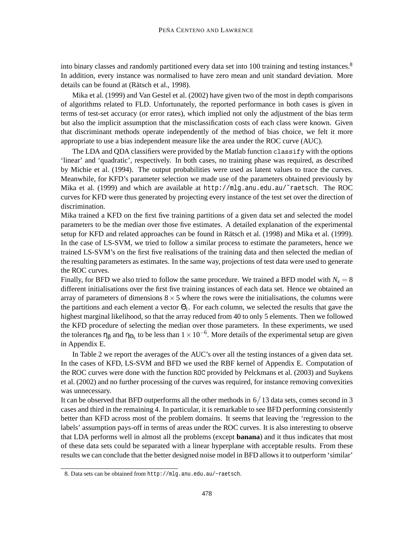into binary classes and randomly partitioned every data set into 100 training and testing instances.<sup>8</sup> In addition, every instance was normalised to have zero mean and unit standard deviation. More details can be found at (Rätsch et al., 1998).

Mika et al. (1999) and Van Gestel et al. (2002) have given two of the most in depth comparisons of algorithms related to FLD. Unfortunately, the reported performance in both cases is given in terms of test-set accuracy (or error rates), which implied not only the adjustment of the bias term but also the implicit assumption that the misclassification costs of each class were known. Given that discriminant methods operate independently of the method of bias choice, we felt it more appropriate to use a bias independent measure like the area under the ROC curve (AUC).

The LDA and QDA classifiers were provided by the Matlab function classify with the options 'linear' and 'quadratic', respectively. In both cases, no training phase was required, as described by Michie et al. (1994). The output probabilities were used as latent values to trace the curves. Meanwhile, for KFD's parameter selection we made use of the parameters obtained previously by Mika et al. (1999) and which are available at http://mlg.anu.edu.au/˜raetsch. The ROC curves for KFD were thus generated by projecting every instance of the test set over the direction of discrimination.

Mika trained a KFD on the first five training partitions of a given data set and selected the model parameters to be the median over those five estimates. A detailed explanation of the experimental setup for KFD and related approaches can be found in Rätsch et al. (1998) and Mika et al. (1999). In the case of LS-SVM, we tried to follow a similar process to estimate the parameters, hence we trained LS-SVM's on the first five realisations of the training data and then selected the median of the resulting parameters as estimates. In the same way, projections of test data were used to generate the ROC curves.

Finally, for BFD we also tried to follow the same procedure. We trained a BFD model with  $N_x = 8$ different initialisations over the first five training instances of each data set. Hence we obtained an array of parameters of dimensions  $8 \times 5$  where the rows were the initialisations, the columns were the partitions and each element a vector Θ*<sup>t</sup>* . For each column, we selected the results that gave the highest marginal likelihood, so that the array reduced from 40 to only 5 elements. Then we followed the KFD procedure of selecting the median over those parameters. In these experiments, we used the tolerances  $\eta_\beta$  and  $\eta_{\Theta_k}$  to be less than  $1 \times 10^{-6}$ . More details of the experimental setup are given in Appendix E.

In Table 2 we report the averages of the AUC's over all the testing instances of a given data set. In the cases of KFD, LS-SVM and BFD we used the RBF kernel of Appendix E. Computation of the ROC curves were done with the function ROC provided by Pelckmans et al. (2003) and Suykens et al. (2002) and no further processing of the curves was required, for instance removing convexities was unnecessary.

It can be observed that BFD outperforms all the other methods in  $6/13$  data sets, comes second in 3 cases and third in the remaining 4. In particular, it is remarkable to see BFD performing consistently better than KFD across most of the problem domains. It seems that leaving the 'regression to the labels' assumption pays-off in terms of areas under the ROC curves. It is also interesting to observe that LDA performs well in almost all the problems (except **banana**) and it thus indicates that most of these data sets could be separated with a linear hyperplane with acceptable results. From these results we can conclude that the better designed noise model in BFD allows it to outperform 'similar'

<sup>8.</sup> Data sets can be obtained from http://mlg.anu.edu.au/~raetsch.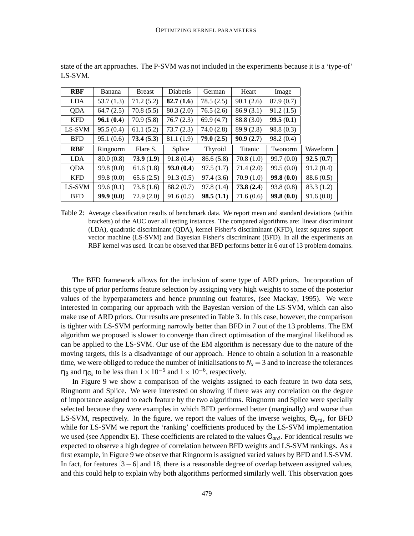| <b>RBF</b> | Banana    | <b>Breast</b> | <b>Diabetis</b> | German    | Heart          | Image     |           |
|------------|-----------|---------------|-----------------|-----------|----------------|-----------|-----------|
| <b>LDA</b> | 53.7(1.3) | 71.2(5.2)     | 82.7(1.6)       | 78.5(2.5) | 90.1(2.6)      | 87.9(0.7) |           |
| QDA        | 64.7(2.5) | 70.8(5.5)     | 80.3(2.0)       | 76.5(2.6) | 86.9(3.1)      | 91.2(1.5) |           |
| <b>KFD</b> | 96.1(0.4) | 70.9(5.8)     | 76.7(2.3)       | 69.9(4.7) | 88.8 (3.0)     | 99.5(0.1) |           |
| LS-SVM     | 95.5(0.4) | 61.1(5.2)     | 73.7(2.3)       | 74.0(2.8) | 89.9(2.8)      | 98.8(0.3) |           |
| <b>BFD</b> | 95.1(0.6) | 73.4(5.3)     | 81.1(1.9)       | 79.0(2.5) | 90.9(2.7)      | 98.2(0.4) |           |
|            |           |               |                 |           |                |           |           |
| <b>RBF</b> | Ringnorm  | Flare S.      | Splice          | Thyroid   | <b>Titanic</b> | Twonorm   | Waveform  |
| <b>LDA</b> | 80.0(0.8) | 73.9(1.9)     | 91.8(0.4)       | 86.6(5.8) | 70.8(1.0)      | 99.7(0.0) | 92.5(0.7) |
| QDA        | 99.8(0.0) | 61.6(1.8)     | 93.0(0.4)       | 97.5(1.7) | 71.4(2.0)      | 99.5(0.0) | 91.2(0.4) |
| <b>KFD</b> | 99.8(0.0) | 65.6(2.5)     | 91.3(0.5)       | 97.4(3.6) | 70.9(1.0)      | 99.8(0.0) | 88.6(0.5) |
| LS-SVM     | 99.6(0.1) | 73.8(1.6)     | 88.2 (0.7)      | 97.8(1.4) | 73.8(2.4)      | 93.8(0.8) | 83.3(1.2) |

state of the art approaches. The P-SVM was not included in the experiments because it is a 'type-of' LS-SVM.

Table 2: Average classification results of benchmark data. We report mean and standard deviations (within brackets) of the AUC over all testing instances. The compared algorithms are: linear discriminant (LDA), quadratic discriminant (QDA), kernel Fisher's discriminant (KFD), least squares support vector machine (LS-SVM) and Bayesian Fisher's discriminant (BFD). In all the experiments an RBF kernel was used. It can be observed that BFD performs better in 6 out of 13 problem domains.

The BFD framework allows for the inclusion of some type of ARD priors. Incorporation of this type of prior performs feature selection by assigning very high weights to some of the posterior values of the hyperparameters and hence prunning out features, (see Mackay, 1995). We were interested in comparing our approach with the Bayesian version of the LS-SVM, which can also make use of ARD priors. Our results are presented in Table 3. In this case, however, the comparison is tighter with LS-SVM performing narrowly better than BFD in 7 out of the 13 problems. The EM algorithm we proposed is slower to converge than direct optimisation of the marginal likelihood as can be applied to the LS-SVM. Our use of the EM algorithm is necessary due to the nature of the moving targets, this is a disadvantage of our approach. Hence to obtain a solution in a reasonable time, we were obliged to reduce the number of initialisations to  $N_x = 3$  and to increase the tolerances  $η<sub>β</sub>$  and  $η<sub>Θ<sub>k</sub></sub>$  to be less than  $1 \times 10^{-5}$  and  $1 \times 10^{-6}$ , respectively.

In Figure 9 we show a comparison of the weights assigned to each feature in two data sets, Ringnorm and Splice. We were interested on showing if there was any correlation on the degree of importance assigned to each feature by the two algorithms. Ringnorm and Splice were specially selected because they were examples in which BFD performed better (marginally) and worse than LS-SVM, respectively. In the figure, we report the values of the inverse weights, Θ*ard*, for BFD while for LS-SVM we report the 'ranking' coefficients produced by the LS-SVM implementation we used (see Appendix E). These coefficients are related to the values Θ*ard*. For identical results we expected to observe a high degree of correlation between BFD weights and LS-SVM rankings. As a first example, in Figure 9 we observe that Ringnorm is assigned varied values by BFD and LS-SVM. In fact, for features  $[3-6]$  and 18, there is a reasonable degree of overlap between assigned values, and this could help to explain why both algorithms performed similarly well. This observation goes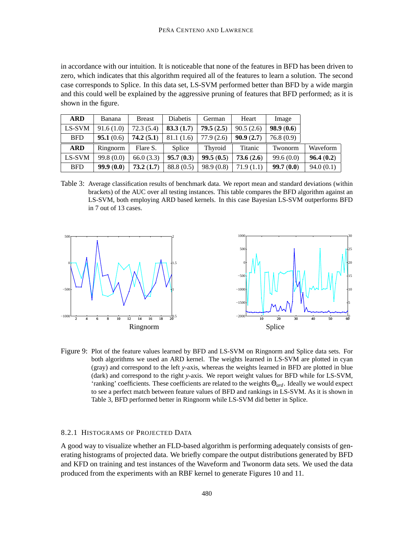in accordance with our intuition. It is noticeable that none of the features in BFD has been driven to zero, which indicates that this algorithm required all of the features to learn a solution. The second case corresponds to Splice. In this data set, LS-SVM performed better than BFD by a wide margin and this could well be explained by the aggressive pruning of features that BFD performed; as it is shown in the figure.

| <b>ARD</b> | Banana    | <b>Breast</b> | <b>Diabetis</b> | German     | Heart          | Image     |           |
|------------|-----------|---------------|-----------------|------------|----------------|-----------|-----------|
| LS-SVM     | 91.6(1.0) | 72.3(5.4)     | 83.3(1.7)       | 79.5(2.5)  | 90.5(2.6)      | 98.9(0.6) |           |
| <b>BFD</b> | 95.1(0.6) | 74.2(5.1)     | 81.1 (1.6)      | 77.9 (2.6) | 90.9(2.7)      | 76.8(0.9) |           |
| <b>ARD</b> | Ringnorm  | Flare S.      | Splice          | Thyroid    | <b>Titanic</b> | Twonorm   | Waveform  |
| LS-SVM     | 99.8(0.0) | 66.0(3.3)     | 95.7(0.3)       | 99.5(0.5)  | 73.6(2.6)      | 99.6(0.0) | 96.4(0.2) |
| <b>BFD</b> | 99.9(0.0) | 73.2(1.7)     | 88.8 (0.5)      | 98.9(0.8)  | 71.9 (1.1)     | 99.7(0.0) | 94.0(0.1) |

Table 3: Average classification results of benchmark data. We report mean and standard deviations (within brackets) of the AUC over all testing instances. This table compares the BFD algorithm against an LS-SVM, both employing ARD based kernels. In this case Bayesian LS-SVM outperforms BFD in 7 out of 13 cases.



Figure 9: Plot of the feature values learned by BFD and LS-SVM on Ringnorm and Splice data sets. For both algorithms we used an ARD kernel. The weights learned in LS-SVM are plotted in cyan (gray) and correspond to the left *y*-axis, whereas the weights learned in BFD are plotted in blue (dark) and correspond to the right *y*-axis. We report weight values for BFD while for LS-SVM, 'ranking' coefficients. These coefficients are related to the weights Θ*ard*. Ideally we would expect to see a perfect match between feature values of BFD and rankings in LS-SVM. As it is shown in Table 3, BFD performed better in Ringnorm while LS-SVM did better in Splice.

## 8.2.1 HISTOGRAMS OF PROJECTED DATA

A good way to visualize whether an FLD-based algorithm is performing adequately consists of generating histograms of projected data. We briefly compare the output distributions generated by BFD and KFD on training and test instances of the Waveform and Twonorm data sets. We used the data produced from the experiments with an RBF kernel to generate Figures 10 and 11.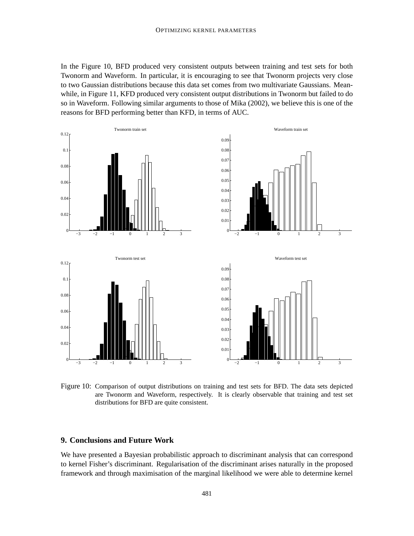In the Figure 10, BFD produced very consistent outputs between training and test sets for both Twonorm and Waveform. In particular, it is encouraging to see that Twonorm projects very close to two Gaussian distributions because this data set comes from two multivariate Gaussians. Meanwhile, in Figure 11, KFD produced very consistent output distributions in Twonorm but failed to do so in Waveform. Following similar arguments to those of Mika (2002), we believe this is one of the reasons for BFD performing better than KFD, in terms of AUC.



Figure 10: Comparison of output distributions on training and test sets for BFD. The data sets depicted are Twonorm and Waveform, respectively. It is clearly observable that training and test set distributions for BFD are quite consistent.

## **9. Conclusions and Future Work**

We have presented a Bayesian probabilistic approach to discriminant analysis that can correspond to kernel Fisher's discriminant. Regularisation of the discriminant arises naturally in the proposed framework and through maximisation of the marginal likelihood we were able to determine kernel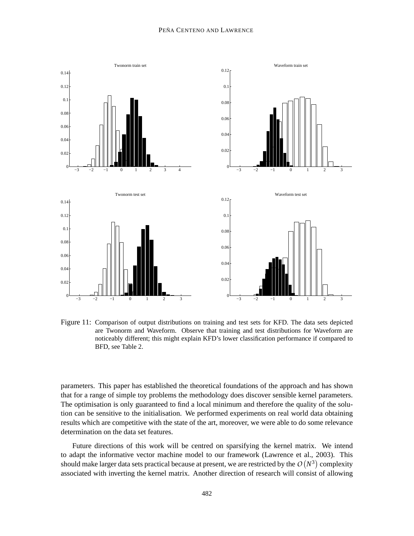

Figure 11: Comparison of output distributions on training and test sets for KFD. The data sets depicted are Twonorm and Waveform. Observe that training and test distributions for Waveform are noticeably different; this might explain KFD's lower classification performance if compared to BFD, see Table 2.

parameters. This paper has established the theoretical foundations of the approach and has shown that for a range of simple toy problems the methodology does discover sensible kernel parameters. The optimisation is only guaranteed to find a local minimum and therefore the quality of the solution can be sensitive to the initialisation. We performed experiments on real world data obtaining results which are competitive with the state of the art, moreover, we were able to do some relevance determination on the data set features.

Future directions of this work will be centred on sparsifying the kernel matrix. We intend to adapt the informative vector machine model to our framework (Lawrence et al., 2003). This should make larger data sets practical because at present, we are restricted by the  $O\left(N^3\right)$  complexity associated with inverting the kernel matrix. Another direction of research will consist of allowing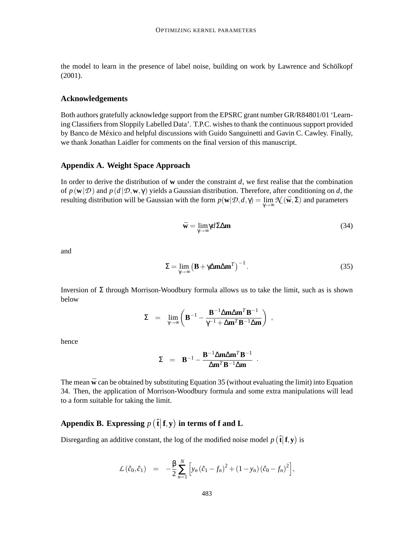the model to learn in the presence of label noise, building on work by Lawrence and Schölkopf (2001).

## **Acknowledgements**

Both authors gratefully acknowledge support from the EPSRC grant number GR/R84801/01 'Learning Classifiers from Sloppily Labelled Data'. T.P.C. wishes to thank the continuous support provided by Banco de México and helpful discussions with Guido Sanguinetti and Gavin C. Cawley. Finally, we thank Jonathan Laidler for comments on the final version of this manuscript.

## **Appendix A. Weight Space Approach**

In order to derive the distribution of **w** under the constraint *d*, we first realise that the combination of  $p(\mathbf{w}|\mathcal{D})$  and  $p(d|\mathcal{D},\mathbf{w},\gamma)$  yields a Gaussian distribution. Therefore, after conditioning on *d*, the resulting distribution will be Gaussian with the form  $p(\mathbf{w}|\mathcal{D}, d, \gamma) = \lim_{\gamma \to \infty} \mathcal{N}(\bar{\mathbf{w}}, \Sigma)$  and parameters

$$
\bar{\mathbf{w}} = \lim_{\gamma \to \infty} \gamma d \Sigma \Delta \mathbf{m} \tag{34}
$$

and

$$
\Sigma = \lim_{\gamma \to \infty} \left( \mathbf{B} + \gamma \Delta \mathbf{m} \Delta \mathbf{m}^T \right)^{-1} . \tag{35}
$$

.

Inversion of  $\Sigma$  through Morrison-Woodbury formula allows us to take the limit, such as is shown below

$$
\Sigma\;\;=\;\;\lim_{\gamma\to\infty}\left(\mathbf{B}^{-1}-\frac{\mathbf{B}^{-1}\Delta\mathbf{m}\Delta\mathbf{m}^T\mathbf{B}^{-1}}{\gamma^{-1}+\Delta\mathbf{m}^T\mathbf{B}^{-1}\Delta\mathbf{m}}\right)\;,
$$

hence

$$
\Sigma = \mathbf{B}^{-1} - \frac{\mathbf{B}^{-1} \Delta \mathbf{m} \Delta \mathbf{m}^{T} \mathbf{B}^{-1}}{\Delta \mathbf{m}^{T} \mathbf{B}^{-1} \Delta \mathbf{m}}
$$

The mean  $\bar{w}$  can be obtained by substituting Equation 35 (without evaluating the limit) into Equation 34. Then, the application of Morrison-Woodbury formula and some extra manipulations will lead to a form suitable for taking the limit.

# Appendix B. Expressing  $p\left(\hat{\textbf{t}}|\textbf{f},\textbf{y}\right)$  in terms of **f** and **L**

Disregarding an additive constant, the log of the modified noise model  $p(\hat{\mathbf{t}}|\mathbf{f}, \mathbf{y})$  is

$$
\mathcal{L}(\hat{c}_0, \hat{c}_1) = -\frac{\beta}{2} \sum_{n=1}^N \left[ y_n (\hat{c}_1 - f_n)^2 + (1 - y_n) (\hat{c}_0 - f_n)^2 \right],
$$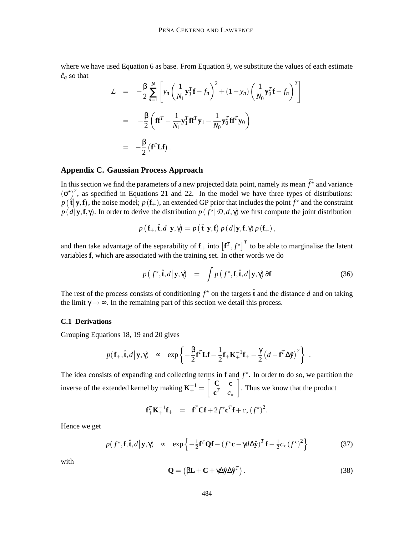where we have used Equation 6 as base. From Equation 9, we substitute the values of each estimate  $\hat{c}_q$  so that

$$
\mathcal{L} = -\frac{\beta}{2} \sum_{n=1}^{N} \left[ y_n \left( \frac{1}{N_1} \mathbf{y}_1^T \mathbf{f} - f_n \right)^2 + (1 - y_n) \left( \frac{1}{N_0} \mathbf{y}_0^T \mathbf{f} - f_n \right)^2 \right]
$$
  
\n
$$
= -\frac{\beta}{2} \left( \mathbf{f} \mathbf{f}^T - \frac{1}{N_1} \mathbf{y}_1^T \mathbf{f} \mathbf{f}^T \mathbf{y}_1 - \frac{1}{N_0} \mathbf{y}_0^T \mathbf{f} \mathbf{f}^T \mathbf{y}_0 \right)
$$
  
\n
$$
= -\frac{\beta}{2} \left( \mathbf{f}^T \mathbf{L} \mathbf{f} \right).
$$

## **Appendix C. Gaussian Process Approach**

In this section we find the parameters of a new projected data point, namely its mean  $\bar{f}^{\star}$  and variance  $(\sigma^*)^2$ , as specified in Equations 21 and 22. In the model we have three types of distributions:  $p(\hat{\mathbf{t}}|\mathbf{y}, \mathbf{f})$ , the noise model;  $p(\mathbf{f}_{+})$ , an extended GP prior that includes the point  $f^*$  and the constraint  $p(d|\mathbf{y}, \mathbf{f}, \gamma)$ . In order to derive the distribution  $p(f^*|\mathcal{D}, d, \gamma)$  we first compute the joint distribution

$$
p\left(\mathbf{f}_{+}, \hat{\mathbf{t}}, d \big| \mathbf{y}, \gamma\right) = p\left(\hat{\mathbf{t}} \big| \mathbf{y}, \mathbf{f}\right) p\left(d \big| \mathbf{y}, \mathbf{f}, \gamma\right) p\left(\mathbf{f}_{+}\right),
$$

and then take advantage of the separability of  $f_+$  into  $[f^T, f^{\star}]^T$  to be able to marginalise the latent variables **f**, which are associated with the training set. In other words we do

$$
p(f^{\star}, \hat{\mathbf{t}}, d | \mathbf{y}, \gamma) = \int p(f^{\star}, \mathbf{f}, \hat{\mathbf{t}}, d | \mathbf{y}, \gamma) \, \partial \mathbf{f}
$$
 (36)

The rest of the process consists of conditioning  $f^*$  on the targets  $\hat{\mathbf{t}}$  and the distance *d* and on taking the limit  $\gamma \rightarrow \infty$ . In the remaining part of this section we detail this process.

#### **C.1 Derivations**

Grouping Equations 18, 19 and 20 gives

$$
p(\mathbf{f}_{+}, \hat{\mathbf{t}}, d | \mathbf{y}, \gamma) \propto \exp \left\{-\frac{\beta}{2} \mathbf{f}^T \mathbf{L} \mathbf{f} - \frac{1}{2} \mathbf{f}_{+} \mathbf{K}_{+}^{-1} \mathbf{f}_{+} - \frac{\gamma}{2} (d - \mathbf{f}^T \Delta \hat{\mathbf{y}})^2\right\}.
$$

The idea consists of expanding and collecting terms in  $f$  and  $f^*$ . In order to do so, we partition the inverse of the extended kernel by making  $\mathbf{K}_{+}^{-1} = \begin{bmatrix} \mathbf{C} & \mathbf{c} \\ \mathbf{c}^T & \mathbf{c} \end{bmatrix}$  ${\bf c}^T$  *c*<sup>\*</sup> . Thus we know that the product

$$
\mathbf{f}_+^T \mathbf{K}_+^{-1} \mathbf{f}_+ = \mathbf{f}^T \mathbf{C} \mathbf{f} + 2 f^{\star} \mathbf{c}^T \mathbf{f} + c_{\star} (f^{\star})^2.
$$

Hence we get

$$
p(f^{\star}, \mathbf{f}, \hat{\mathbf{t}}, d | \mathbf{y}, \gamma) \sim \exp\left\{-\frac{1}{2}\mathbf{f}^T \mathbf{Q} \mathbf{f} - (f^{\star} \mathbf{c} - \gamma d \Delta \hat{\mathbf{y}})^T \mathbf{f} - \frac{1}{2} c_{\star} (f^{\star})^2\right\}
$$
(37)

with

$$
\mathbf{Q} = (\beta \mathbf{L} + \mathbf{C} + \gamma \Delta \hat{\mathbf{y}} \Delta \hat{\mathbf{y}}^T). \tag{38}
$$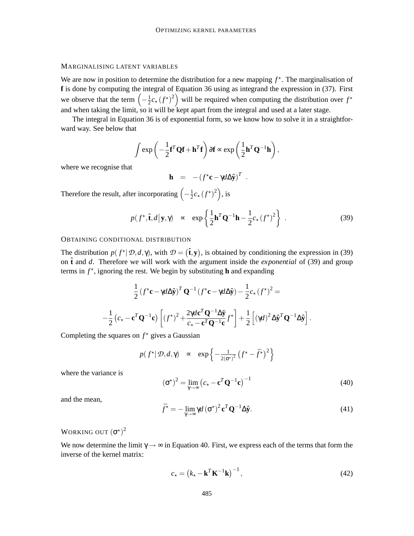## MARGINALISING LATENT VARIABLES

We are now in position to determine the distribution for a new mapping  $f^*$ . The marginalisation of **f** is done by computing the integral of Equation 36 using as integrand the expression in (37). First we observe that the term  $\left(-\frac{1}{2}\right)$  $\frac{1}{2}c_{\star}(f^{\star})^2$  will be required when computing the distribution over  $f^{\star}$ and when taking the limit, so it will be kept apart from the integral and used at a later stage.

The integral in Equation 36 is of exponential form, so we know how to solve it in a straightforward way. See below that

$$
\int \exp\left(-\frac{1}{2}\mathbf{f}^T\mathbf{Q}\mathbf{f} + \mathbf{h}^T\mathbf{f}\right) \partial \mathbf{f} \propto \exp\left(\frac{1}{2}\mathbf{h}^T\mathbf{Q}^{-1}\mathbf{h}\right),
$$

where we recognise that

$$
\mathbf{h} = -(f^{\star}\mathbf{c} - \gamma d\Delta \hat{\mathbf{y}})^T.
$$

Therefore the result, after incorporating  $\left(-\frac{1}{2}\right)$  $\frac{1}{2}c_{\star}(f^{\star})^2$ , is

$$
p(f^{\star}, \hat{\mathbf{t}}, d | \mathbf{y}, \gamma) \sim \exp\left\{ \frac{1}{2} \mathbf{h}^T \mathbf{Q}^{-1} \mathbf{h} - \frac{1}{2} c_{\star} (f^{\star})^2 \right\} . \tag{39}
$$

#### OBTAINING CONDITIONAL DISTRIBUTION

The distribution  $p(f^* | \mathcal{D}, d, \gamma)$ , with  $\mathcal{D} = (\hat{\mathbf{t}}, \mathbf{y})$ , is obtained by conditioning the expression in (39) on  $\hat{\bf{t}}$  and *d*. Therefore we will work with the argument inside the *exponential* of (39) and group terms in  $f^*$ , ignoring the rest. We begin by substituting **h** and expanding

$$
\frac{1}{2} \left( f^{\star} \mathbf{c} - \gamma d \Delta \hat{\mathbf{y}} \right)^{T} \mathbf{Q}^{-1} \left( f^{\star} \mathbf{c} - \gamma d \Delta \hat{\mathbf{y}} \right) - \frac{1}{2} c_{\star} \left( f^{\star} \right)^{2} =
$$
\n
$$
-\frac{1}{2} \left( c_{\star} - \mathbf{c}^{T} \mathbf{Q}^{-1} \mathbf{c} \right) \left[ \left( f^{\star} \right)^{2} + \frac{2 \gamma d \mathbf{c}^{T} \mathbf{Q}^{-1} \Delta \hat{\mathbf{y}}}{c_{\star} - \mathbf{c}^{T} \mathbf{Q}^{-1} \mathbf{c}} f^{\star} \right] + \frac{1}{2} \left[ \left( \gamma d \right)^{2} \Delta \hat{\mathbf{y}}^{T} \mathbf{Q}^{-1} \Delta \hat{\mathbf{y}} \right]
$$

Completing the squares on  $f^*$  gives a Gaussian

$$
p(f^{\star}|\mathcal{D}, d, \gamma) \propto \exp\left\{-\frac{1}{2(\sigma^{\star})^2}(f^{\star} - \bar{f}^{\star})^2\right\}
$$

where the variance is

$$
(\sigma^{\star})^2 = \lim_{\gamma \to \infty} \left( c_{\star} - \mathbf{c}^T \mathbf{Q}^{-1} \mathbf{c} \right)^{-1}
$$
(40)

.

and the mean,

$$
\bar{f}^* = -\lim_{\gamma \to \infty} \gamma d \left(\sigma^*\right)^2 \mathbf{c}^T \mathbf{Q}^{-1} \Delta \hat{\mathbf{y}}.
$$
\n(41)

## WORKING OUT  $\left(\sigma^{\star}\right)^2$

We now determine the limit  $\gamma \rightarrow \infty$  in Equation 40. First, we express each of the terms that form the inverse of the kernel matrix:

$$
c_{\star} = \left(k_{\star} - \mathbf{k}^{T} \mathbf{K}^{-1} \mathbf{k}\right)^{-1},\tag{42}
$$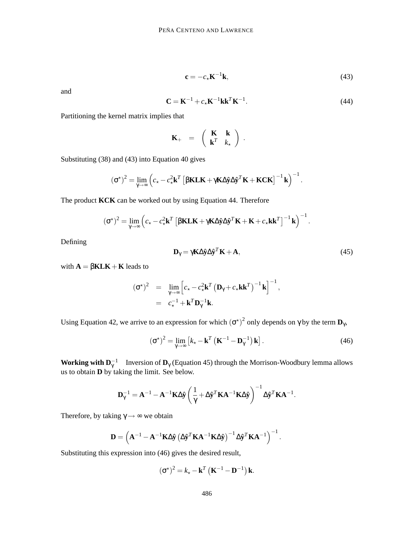$$
\mathbf{c} = -c_{\star} \mathbf{K}^{-1} \mathbf{k},\tag{43}
$$

and

$$
\mathbf{C} = \mathbf{K}^{-1} + c_{\star} \mathbf{K}^{-1} \mathbf{k} \mathbf{k}^{T} \mathbf{K}^{-1}.
$$
 (44)

Partitioning the kernel matrix implies that

$$
\mathbf{K}_{+} = \begin{pmatrix} \mathbf{K} & \mathbf{k} \\ \mathbf{k}^{T} & k_{\star} \end{pmatrix}.
$$

Substituting (38) and (43) into Equation 40 gives

$$
(\sigma^{\star})^2 = \lim_{\gamma \to \infty} \left( c_{\star} - c_{\star}^2 \mathbf{k}^T \left[ \beta \mathbf{K} \mathbf{L} \mathbf{K} + \gamma \mathbf{K} \Delta \hat{\mathbf{y}} \Delta \hat{\mathbf{y}}^T \mathbf{K} + \mathbf{K} \mathbf{C} \mathbf{K} \right]^{-1} \mathbf{k} \right)^{-1}.
$$

The product **KCK** can be worked out by using Equation 44. Therefore

$$
(\sigma^*)^2 = \lim_{\gamma \to \infty} \left( c_\star - c_\star^2 \mathbf{k}^T \left[ \beta \mathbf{K L} \mathbf{K} + \gamma \mathbf{K} \Delta \hat{\mathbf{y}} \Delta \hat{\mathbf{y}}^T \mathbf{K} + \mathbf{K} + c_\star \mathbf{k} \mathbf{k}^T \right]^{-1} \mathbf{k} \right)^{-1}.
$$

Defining

$$
\mathbf{D}_{\gamma} = \gamma \mathbf{K} \Delta \hat{\mathbf{y}} \Delta \hat{\mathbf{y}}^T \mathbf{K} + \mathbf{A},\tag{45}
$$

with  $A = \beta KLK + K$  leads to

$$
(\boldsymbol{\sigma}^{\star})^2 = \lim_{\gamma \to \infty} \left[ c_{\star} - c_{\star}^2 \mathbf{k}^T \left( \mathbf{D}_{\gamma} + c_{\star} \mathbf{k} \mathbf{k}^T \right)^{-1} \mathbf{k} \right]^{-1},
$$
  
=  $c_{\star}^{-1} + \mathbf{k}^T \mathbf{D}_{\gamma}^{-1} \mathbf{k}.$ 

Using Equation 42, we arrive to an expression for which  $(\sigma^{\star})^2$  only depends on  $\gamma$  by the term  $\mathbf{D}_{\gamma}$ ,

$$
\left(\boldsymbol{\sigma}^{\star}\right)^{2} = \lim_{\gamma \to \infty} \left[k_{\star} - \mathbf{k}^{T}\left(\mathbf{K}^{-1} - \mathbf{D}_{\gamma}^{-1}\right)\mathbf{k}\right].
$$
\n(46)

**Working with**  $D_\gamma^{-1}$  Inversion of  $D_\gamma$  (Equation 45) through the Morrison-Woodbury lemma allows us to obtain **D** by taking the limit. See below.

$$
\mathbf{D}_{\gamma}^{-1} = \mathbf{A}^{-1} - \mathbf{A}^{-1} \mathbf{K} \Delta \hat{\mathbf{y}} \left( \frac{1}{\gamma} + \Delta \hat{\mathbf{y}}^T \mathbf{K} \mathbf{A}^{-1} \mathbf{K} \Delta \hat{\mathbf{y}} \right)^{-1} \Delta \hat{\mathbf{y}}^T \mathbf{K} \mathbf{A}^{-1}.
$$

Therefore, by taking  $\gamma \rightarrow \infty$  we obtain

$$
\mathbf{D} = \left(\mathbf{A}^{-1} - \mathbf{A}^{-1}\mathbf{K}\Delta\hat{\mathbf{y}}\left(\Delta\hat{\mathbf{y}}^T\mathbf{K}\mathbf{A}^{-1}\mathbf{K}\Delta\hat{\mathbf{y}}\right)^{-1}\Delta\hat{\mathbf{y}}^T\mathbf{K}\mathbf{A}^{-1}\right)^{-1}.
$$

Substituting this expression into (46) gives the desired result,

$$
\left(\boldsymbol{\sigma}^{\star}\right)^{2} = k_{\star} - \mathbf{k}^{T} \left(\mathbf{K}^{-1} - \mathbf{D}^{-1}\right) \mathbf{k}.
$$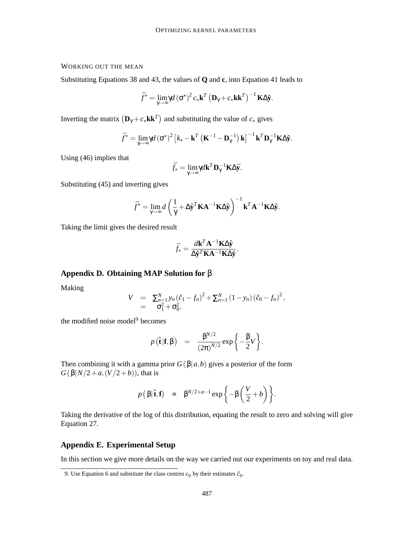## WORKING OUT THE MEAN

Substituting Equations 38 and 43, the values of **Q** and **c**, into Equation 41 leads to

$$
\bar{f}^{\star} = \lim_{\gamma \to \infty} \gamma d (\sigma^{\star})^2 c_{\star} \mathbf{k}^T (\mathbf{D}_{\gamma} + c_{\star} \mathbf{k} \mathbf{k}^T)^{-1} \mathbf{K} \Delta \hat{\mathbf{y}}.
$$

Inverting the matrix  $(D_{\gamma} + c_{\star} \mathbf{k} \mathbf{k}^T)$  and substituting the value of  $c_{\star}$  gives

$$
\bar{f}^{\star} = \lim_{\gamma \to \infty} \gamma d \left(\sigma^{\star}\right)^{2} \left[k_{\star} - \mathbf{k}^{T} \left(\mathbf{K}^{-1} - \mathbf{D}_{\gamma}^{-1}\right) \mathbf{k}\right]^{-1} \mathbf{k}^{T} \mathbf{D}_{\gamma}^{-1} \mathbf{K} \Delta \hat{\mathbf{y}}.
$$

Using (46) implies that

$$
\bar{f}_{\star} = \lim_{\gamma \to \infty} \gamma d\mathbf{k}^T \mathbf{D}_{\gamma}^{-1} \mathbf{K} \Delta \bar{\mathbf{y}}.
$$

Substituting (45) and inverting gives

$$
\bar{f}^{\star} = \lim_{\gamma \to \infty} d \left( \frac{1}{\gamma} + \Delta \hat{\mathbf{y}}^T \mathbf{K} \mathbf{A}^{-1} \mathbf{K} \Delta \hat{\mathbf{y}} \right)^{-1} \mathbf{k}^T \mathbf{A}^{-1} \mathbf{K} \Delta \hat{\mathbf{y}}.
$$

Taking the limit gives the desired result

$$
\bar{f}_{\star} = \frac{d\mathbf{k}^T \mathbf{A}^{-1} \mathbf{K} \Delta \hat{\mathbf{y}}}{\Delta \hat{\mathbf{y}}^T \mathbf{K} \mathbf{A}^{-1} \mathbf{K} \Delta \hat{\mathbf{y}}}.
$$

## **Appendix D. Obtaining MAP Solution for** β

Making

$$
V = \sum_{n=1}^{N} y_n (\hat{c}_1 - f_n)^2 + \sum_{n=1}^{N} (1 - y_n) (\hat{c}_0 - f_n)^2,
$$
  
=  $\sigma_1^2 + \sigma_0^2.$ 

the modified noise model<sup>9</sup> becomes

$$
p(\hat{\mathbf{t}}|\mathbf{f},\boldsymbol{\beta}) = \frac{\beta^{N/2}}{(2\pi)^{N/2}}\exp\left\{-\frac{\beta}{2}V\right\}.
$$

Then combining it with a gamma prior  $G(\beta|a,b)$  gives a posterior of the form  $G(\beta|N/2+a,(V/2+b))$ , that is

$$
p(\beta|\hat{\mathbf{t}}, \mathbf{f}) \propto \beta^{N/2+a-1} \exp\left\{-\beta\left(\frac{V}{2}+b\right)\right\}.
$$

Taking the derivative of the log of this distribution, equating the result to zero and solving will give Equation 27.

## **Appendix E. Experimental Setup**

In this section we give more details on the way we carried out our experiments on toy and real data.

<sup>9.</sup> Use Equation 6 and substitute the class centres  $c_q$  by their estimates  $\hat{c}_q$ .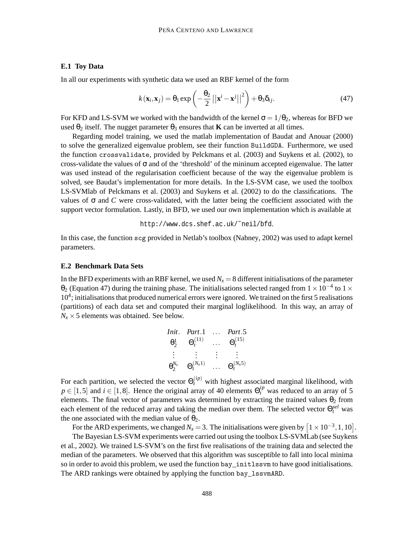## **E.1 Toy Data**

In all our experiments with synthetic data we used an RBF kernel of the form

$$
k(\mathbf{x}_i, \mathbf{x}_j) = \theta_1 \exp\left(-\frac{\theta_2}{2}||\mathbf{x}^i - \mathbf{x}^j||^2\right) + \theta_3 \delta_{ij}.
$$
 (47)

For KFD and LS-SVM we worked with the bandwidth of the kernel  $\sigma = 1/\theta_2$ , whereas for BFD we used  $\theta_2$  itself. The nugget parameter  $\theta_3$  ensures that **K** can be inverted at all times.

Regarding model training, we used the matlab implementation of Baudat and Anouar (2000) to solve the generalized eigenvalue problem, see their function BuildGDA. Furthermore, we used the function crossvalidate, provided by Pelckmans et al. (2003) and Suykens et al. (2002), to cross-validate the values of  $\sigma$  and of the 'threshold' of the mininum accepted eigenvalue. The latter was used instead of the regularisation coefficient because of the way the eigenvalue problem is solved, see Baudat's implementation for more details. In the LS-SVM case, we used the toolbox LS-SVMlab of Pelckmans et al. (2003) and Suykens et al. (2002) to do the classifications. The values of  $\sigma$  and *C* were cross-validated, with the latter being the coefficient associated with the support vector formulation. Lastly, in BFD, we used our own implementation which is available at

#### http://www.dcs.shef.ac.uk/˜neil/bfd.

In this case, the function scg provided in Netlab's toolbox (Nabney, 2002) was used to adapt kernel parameters.

#### **E.2 Benchmark Data Sets**

In the BFD experiments with an RBF kernel, we used  $N_x = 8$  different initialisations of the parameter  $\theta_2$  (Equation 47) during the training phase. The initialisations selected ranged from  $1 \times 10^{-4}$  to  $1 \times$ 10<sup>4</sup>; initialisations that produced numerical errors were ignored. We trained on the first 5 realisations (partitions) of each data set and computed their marginal loglikelihood. In this way, an array of  $N_x \times 5$  elements was obtained. See below.

$$
\begin{array}{ll}\n\text{Init.} & \text{Part.1} & \dots & \text{Part.5} \\
\theta_2^1 & \Theta_t^{(11)} & \dots & \Theta_t^{(15)} \\
\vdots & \vdots & \vdots & \vdots \\
\theta_2^{N_x} & \Theta_t^{(N_x 1)} & \dots & \Theta_t^{(N_x 5)}\n\end{array}
$$

For each partition, we selected the vector  $\Theta_t^{(ip)}$  with highest associated marginal likelihood, with  $p \in [1, 5]$  and  $i \in [1, 8]$ . Hence the original array of 40 elements  $\Theta_t^{ip}$  was reduced to an array of 5 elements. The final vector of parameters was determined by extracting the trained values  $\theta_2$  from each element of the reduced array and taking the median over them. The selected vector  $\Theta_t^{sel}$  was the one associated with the median value of  $\theta_2$ .

For the ARD experiments, we changed  $N_x = 3$ . The initialisations were given by  $\left[1 \times 10^{-3}, 1, 10\right]$ .

The Bayesian LS-SVM experiments were carried out using the toolbox LS-SVMLab (see Suykens et al., 2002). We trained LS-SVM's on the first five realisations of the training data and selected the median of the parameters. We observed that this algorithm was susceptible to fall into local minima so in order to avoid this problem, we used the function bay\_initlssvm to have good initialisations. The ARD rankings were obtained by applying the function bay\_lssvmARD.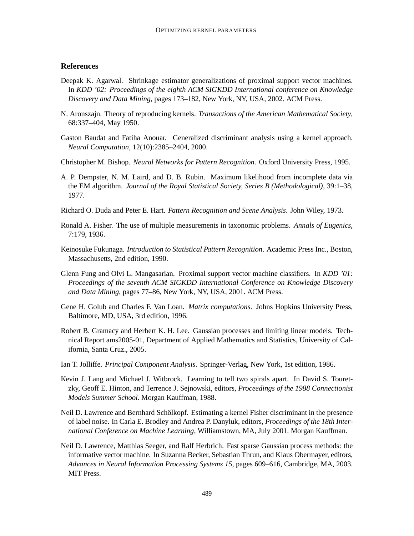## **References**

- Deepak K. Agarwal. Shrinkage estimator generalizations of proximal support vector machines. In *KDD '02: Proceedings of the eighth ACM SIGKDD International conference on Knowledge Discovery and Data Mining*, pages 173–182, New York, NY, USA, 2002. ACM Press.
- N. Aronszajn. Theory of reproducing kernels. *Transactions of the American Mathematical Society*, 68:337–404, May 1950.
- Gaston Baudat and Fatiha Anouar. Generalized discriminant analysis using a kernel approach. *Neural Computation*, 12(10):2385–2404, 2000.
- Christopher M. Bishop. *Neural Networks for Pattern Recognition*. Oxford University Press, 1995.
- A. P. Dempster, N. M. Laird, and D. B. Rubin. Maximum likelihood from incomplete data via the EM algorithm. *Journal of the Royal Statistical Society, Series B (Methodological)*, 39:1–38, 1977.
- Richard O. Duda and Peter E. Hart. *Pattern Recognition and Scene Analysis*. John Wiley, 1973.
- Ronald A. Fisher. The use of multiple measurements in taxonomic problems. *Annals of Eugenics*, 7:179, 1936.
- Keinosuke Fukunaga. *Introduction to Statistical Pattern Recognition*. Academic Press Inc., Boston, Massachusetts, 2nd edition, 1990.
- Glenn Fung and Olvi L. Mangasarian. Proximal support vector machine classifiers. In *KDD '01: Proceedings of the seventh ACM SIGKDD International Conference on Knowledge Discovery and Data Mining*, pages 77–86, New York, NY, USA, 2001. ACM Press.
- Gene H. Golub and Charles F. Van Loan. *Matrix computations*. Johns Hopkins University Press, Baltimore, MD, USA, 3rd edition, 1996.
- Robert B. Gramacy and Herbert K. H. Lee. Gaussian processes and limiting linear models. Technical Report ams2005-01, Department of Applied Mathematics and Statistics, University of California, Santa Cruz., 2005.
- Ian T. Jolliffe. *Principal Component Analysis*. Springer-Verlag, New York, 1st edition, 1986.
- Kevin J. Lang and Michael J. Witbrock. Learning to tell two spirals apart. In David S. Touretzky, Geoff E. Hinton, and Terrence J. Sejnowski, editors, *Proceedings of the 1988 Connectionist Models Summer School*. Morgan Kauffman, 1988.
- Neil D. Lawrence and Bernhard Schölkopf. Estimating a kernel Fisher discriminant in the presence of label noise. In Carla E. Brodley and Andrea P. Danyluk, editors, *Proceedings of the 18th International Conference on Machine Learning*, Williamstown, MA, July 2001. Morgan Kauffman.
- Neil D. Lawrence, Matthias Seeger, and Ralf Herbrich. Fast sparse Gaussian process methods: the informative vector machine. In Suzanna Becker, Sebastian Thrun, and Klaus Obermayer, editors, *Advances in Neural Information Processing Systems 15*, pages 609–616, Cambridge, MA, 2003. MIT Press.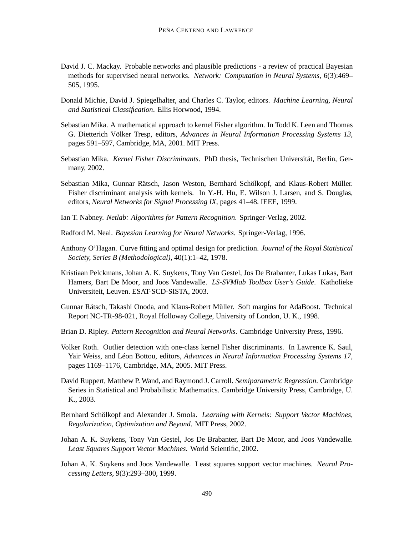- David J. C. Mackay. Probable networks and plausible predictions a review of practical Bayesian methods for supervised neural networks. *Network: Computation in Neural Systems*, 6(3):469– 505, 1995.
- Donald Michie, David J. Spiegelhalter, and Charles C. Taylor, editors. *Machine Learning, Neural and Statistical Classification*. Ellis Horwood, 1994.
- Sebastian Mika. A mathematical approach to kernel Fisher algorithm. In Todd K. Leen and Thomas G. Dietterich Völker Tresp, editors, *Advances in Neural Information Processing Systems 13*, pages 591–597, Cambridge, MA, 2001. MIT Press.
- Sebastian Mika. *Kernel Fisher Discriminants*. PhD thesis, Technischen Universität, Berlin, Germany, 2002.
- Sebastian Mika, Gunnar Rätsch, Jason Weston, Bernhard Schölkopf, and Klaus-Robert Müller. Fisher discriminant analysis with kernels. In Y.-H. Hu, E. Wilson J. Larsen, and S. Douglas, editors, *Neural Networks for Signal Processing IX*, pages 41–48. IEEE, 1999.
- Ian T. Nabney. *Netlab: Algorithms for Pattern Recognition*. Springer-Verlag, 2002.
- Radford M. Neal. *Bayesian Learning for Neural Networks*. Springer-Verlag, 1996.
- Anthony O'Hagan. Curve fitting and optimal design for prediction. *Journal of the Royal Statistical Society, Series B (Methodological)*, 40(1):1–42, 1978.
- Kristiaan Pelckmans, Johan A. K. Suykens, Tony Van Gestel, Jos De Brabanter, Lukas Lukas, Bart Hamers, Bart De Moor, and Joos Vandewalle. *LS-SVMlab Toolbox User's Guide*. Katholieke Universiteit, Leuven. ESAT-SCD-SISTA, 2003.
- Gunnar Rätsch, Takashi Onoda, and Klaus-Robert Müller. Soft margins for AdaBoost. Technical Report NC-TR-98-021, Royal Holloway College, University of London, U. K., 1998.
- Brian D. Ripley. *Pattern Recognition and Neural Networks*. Cambridge University Press, 1996.
- Volker Roth. Outlier detection with one-class kernel Fisher discriminants. In Lawrence K. Saul, Yair Weiss, and Léon Bottou, editors, *Advances in Neural Information Processing Systems 17*, pages 1169–1176, Cambridge, MA, 2005. MIT Press.
- David Ruppert, Matthew P. Wand, and Raymond J. Carroll. *Semiparametric Regression*. Cambridge Series in Statistical and Probabilistic Mathematics. Cambridge University Press, Cambridge, U. K., 2003.
- Bernhard Schölkopf and Alexander J. Smola. *Learning with Kernels: Support Vector Machines, Regularization, Optimization and Beyond*. MIT Press, 2002.
- Johan A. K. Suykens, Tony Van Gestel, Jos De Brabanter, Bart De Moor, and Joos Vandewalle. *Least Squares Support Vector Machines*. World Scientific, 2002.
- Johan A. K. Suykens and Joos Vandewalle. Least squares support vector machines. *Neural Processing Letters*, 9(3):293–300, 1999.